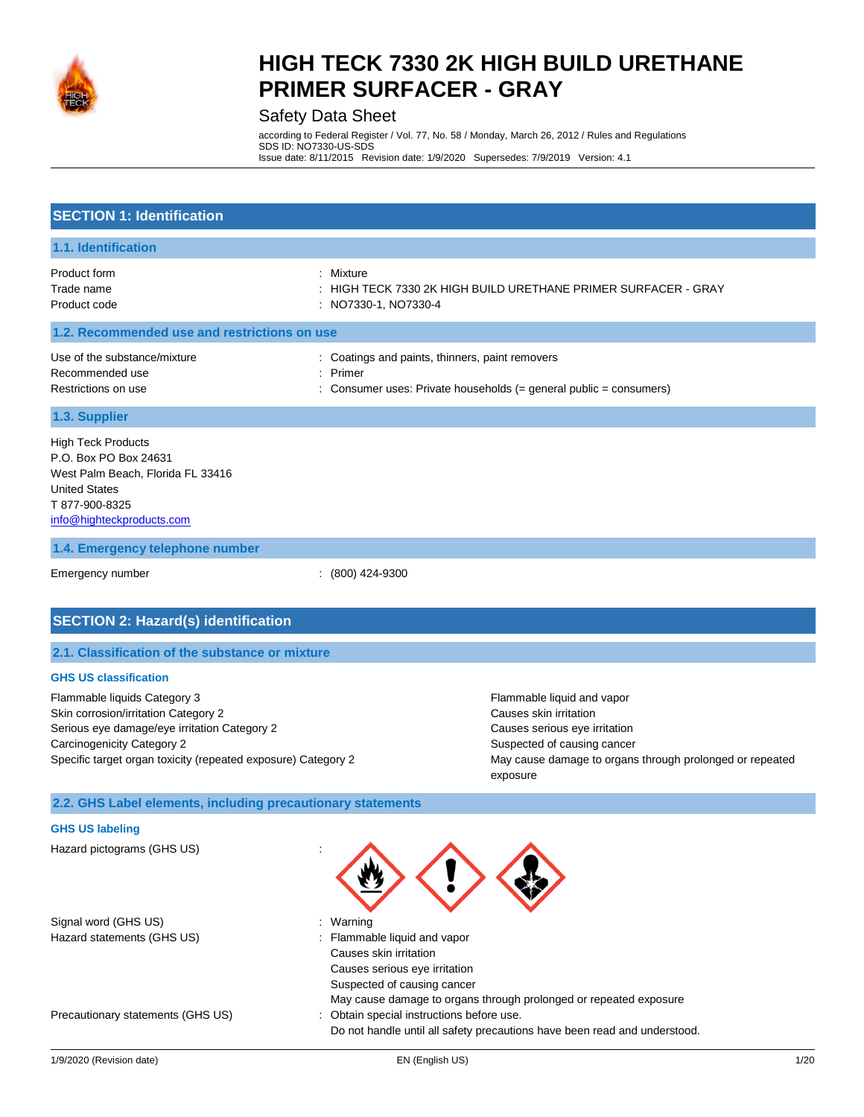

### Safety Data Sheet

according to Federal Register / Vol. 77, No. 58 / Monday, March 26, 2012 / Rules and Regulations SDS ID: NO7330-US-SDS Issue date: 8/11/2015 Revision date: 1/9/2020 Supersedes: 7/9/2019 Version: 4.1

| <b>SECTION 1: Identification</b>                                                                                                                                                                                    |                                                           |                                                                                                                                                                                              |
|---------------------------------------------------------------------------------------------------------------------------------------------------------------------------------------------------------------------|-----------------------------------------------------------|----------------------------------------------------------------------------------------------------------------------------------------------------------------------------------------------|
| 1.1. Identification                                                                                                                                                                                                 |                                                           |                                                                                                                                                                                              |
| Product form<br>Trade name<br>Product code                                                                                                                                                                          | Mixture<br>NO7330-1, NO7330-4                             | HIGH TECK 7330 2K HIGH BUILD URETHANE PRIMER SURFACER - GRAY                                                                                                                                 |
| 1.2. Recommended use and restrictions on use                                                                                                                                                                        |                                                           |                                                                                                                                                                                              |
| Use of the substance/mixture<br>Recommended use<br>Restrictions on use                                                                                                                                              | : Coatings and paints, thinners, paint removers<br>Primer | Consumer uses: Private households (= general public = consumers)                                                                                                                             |
| 1.3. Supplier                                                                                                                                                                                                       |                                                           |                                                                                                                                                                                              |
| <b>High Teck Products</b><br>P.O. Box PO Box 24631<br>West Palm Beach, Florida FL 33416<br><b>United States</b><br>T 877-900-8325<br>info@highteckproducts.com                                                      |                                                           |                                                                                                                                                                                              |
| 1.4. Emergency telephone number                                                                                                                                                                                     |                                                           |                                                                                                                                                                                              |
| Emergency number                                                                                                                                                                                                    | (800) 424-9300                                            |                                                                                                                                                                                              |
| <b>SECTION 2: Hazard(s) identification</b>                                                                                                                                                                          |                                                           |                                                                                                                                                                                              |
| 2.1. Classification of the substance or mixture                                                                                                                                                                     |                                                           |                                                                                                                                                                                              |
| <b>GHS US classification</b>                                                                                                                                                                                        |                                                           |                                                                                                                                                                                              |
| Flammable liquids Category 3<br>Skin corrosion/irritation Category 2<br>Serious eye damage/eye irritation Category 2<br>Carcinogenicity Category 2<br>Specific target organ toxicity (repeated exposure) Category 2 |                                                           | Flammable liquid and vapor<br>Causes skin irritation<br>Causes serious eye irritation<br>Suspected of causing cancer<br>May cause damage to organs through prolonged or repeated<br>exposure |
| 2.2. GHS Label elements, including precautionary statements                                                                                                                                                         |                                                           |                                                                                                                                                                                              |
| <b>GHS US labeling</b>                                                                                                                                                                                              |                                                           |                                                                                                                                                                                              |
| Hazard pictograms (GHS US)                                                                                                                                                                                          |                                                           |                                                                                                                                                                                              |
| Signal word (GHS US)                                                                                                                                                                                                | Warning                                                   |                                                                                                                                                                                              |

Hazard statements (GHS US) : Flammable liquid and vapor

Precautionary statements (GHS US) : Obtain special instructions before use.

May cause damage to organs through prolonged or repeated exposure

Do not handle until all safety precautions have been read and understood.

Causes skin irritation Causes serious eye irritation Suspected of causing cancer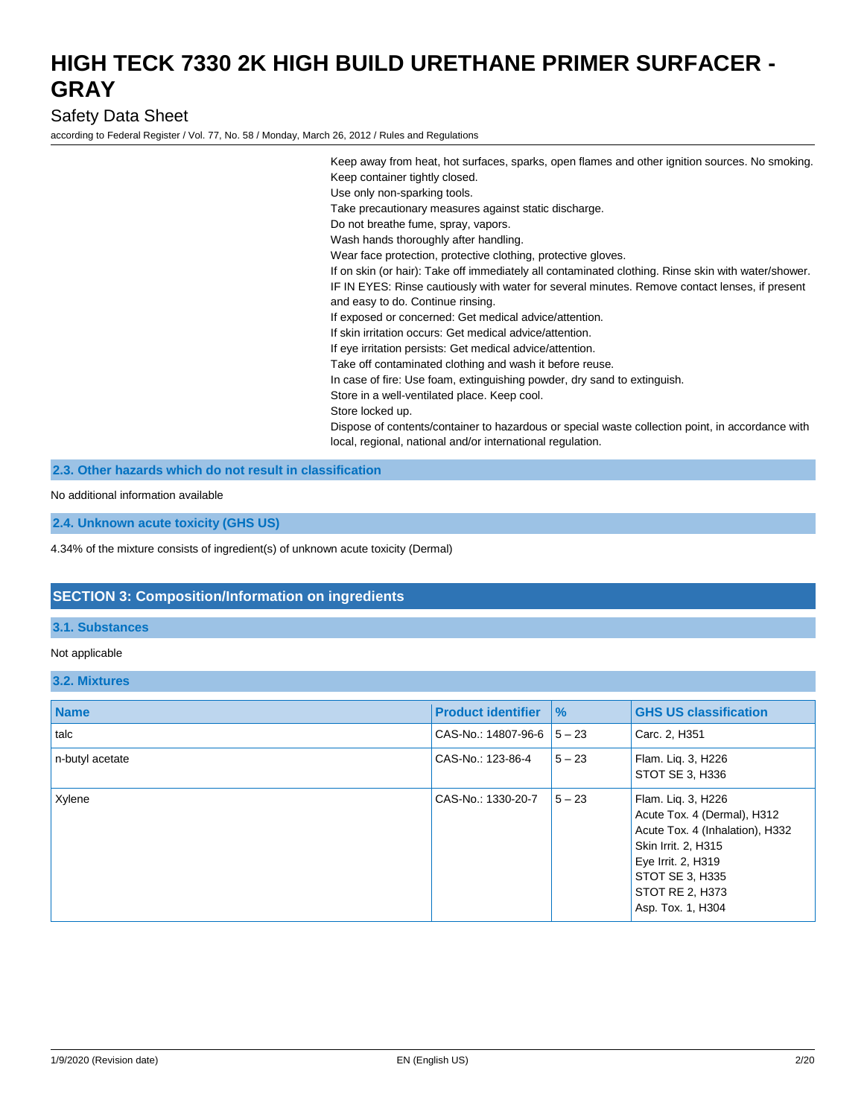### Safety Data Sheet

according to Federal Register / Vol. 77, No. 58 / Monday, March 26, 2012 / Rules and Regulations

Keep away from heat, hot surfaces, sparks, open flames and other ignition sources. No smoking. Keep container tightly closed. Use only non-sparking tools. Take precautionary measures against static discharge. Do not breathe fume, spray, vapors. Wash hands thoroughly after handling. Wear face protection, protective clothing, protective gloves. If on skin (or hair): Take off immediately all contaminated clothing. Rinse skin with water/shower. IF IN EYES: Rinse cautiously with water for several minutes. Remove contact lenses, if present and easy to do. Continue rinsing. If exposed or concerned: Get medical advice/attention. If skin irritation occurs: Get medical advice/attention. If eye irritation persists: Get medical advice/attention. Take off contaminated clothing and wash it before reuse. In case of fire: Use foam, extinguishing powder, dry sand to extinguish. Store in a well-ventilated place. Keep cool. Store locked up. Dispose of contents/container to hazardous or special waste collection point, in accordance with local, regional, national and/or international regulation.

### **2.3. Other hazards which do not result in classification**

No additional information available

**2.4. Unknown acute toxicity (GHS US)**

4.34% of the mixture consists of ingredient(s) of unknown acute toxicity (Dermal)

#### **SECTION 3: Composition/Information on ingredients**

#### **3.1. Substances**

#### Not applicable

#### **3.2. Mixtures**

| <b>Name</b>     | <b>Product identifier</b>     | $\frac{9}{6}$ | <b>GHS US classification</b>                                                                                                                                                                 |
|-----------------|-------------------------------|---------------|----------------------------------------------------------------------------------------------------------------------------------------------------------------------------------------------|
| talc            | CAS-No.: 14807-96-6 $15 - 23$ |               | Carc. 2, H351                                                                                                                                                                                |
| n-butyl acetate | CAS-No.: 123-86-4             | $5 - 23$      | Flam. Lig. 3, H226<br>STOT SE 3, H336                                                                                                                                                        |
| Xylene          | CAS-No.: 1330-20-7            | $5 - 23$      | Flam. Lig. 3, H226<br>Acute Tox. 4 (Dermal), H312<br>Acute Tox. 4 (Inhalation), H332<br>Skin Irrit. 2, H315<br>Eye Irrit. 2, H319<br>STOT SE 3, H335<br>STOT RE 2, H373<br>Asp. Tox. 1, H304 |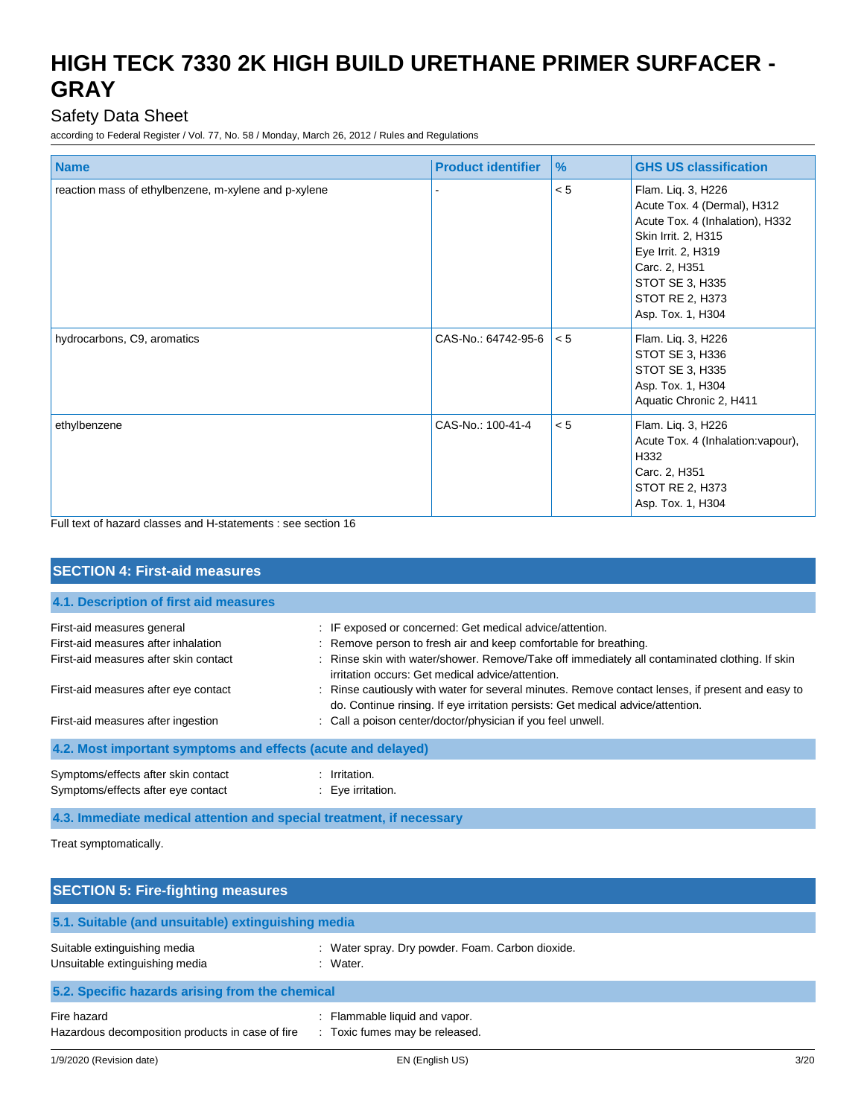## Safety Data Sheet

according to Federal Register / Vol. 77, No. 58 / Monday, March 26, 2012 / Rules and Regulations

| <b>Name</b>                                          | <b>Product identifier</b> | $\frac{9}{6}$ | <b>GHS US classification</b>                                                                                                                                                                                  |
|------------------------------------------------------|---------------------------|---------------|---------------------------------------------------------------------------------------------------------------------------------------------------------------------------------------------------------------|
| reaction mass of ethylbenzene, m-xylene and p-xylene |                           | < 5           | Flam. Liq. 3, H226<br>Acute Tox. 4 (Dermal), H312<br>Acute Tox. 4 (Inhalation), H332<br>Skin Irrit. 2, H315<br>Eye Irrit. 2, H319<br>Carc. 2, H351<br>STOT SE 3, H335<br>STOT RE 2, H373<br>Asp. Tox. 1, H304 |
| hydrocarbons, C9, aromatics                          | CAS-No.: 64742-95-6       | $ $ < 5       | Flam. Liq. 3, H226<br>STOT SE 3, H336<br>STOT SE 3, H335<br>Asp. Tox. 1, H304<br>Aquatic Chronic 2, H411                                                                                                      |
| ethylbenzene                                         | CAS-No.: 100-41-4         | < 5           | Flam. Liq. 3, H226<br>Acute Tox. 4 (Inhalation: vapour),<br>H332<br>Carc. 2, H351<br>STOT RE 2, H373<br>Asp. Tox. 1, H304                                                                                     |

Full text of hazard classes and H-statements : see section 16

| <b>SECTION 4: First-aid measures</b>                                                                       |                                                                                                                                                                                                                                                                                    |  |  |
|------------------------------------------------------------------------------------------------------------|------------------------------------------------------------------------------------------------------------------------------------------------------------------------------------------------------------------------------------------------------------------------------------|--|--|
| 4.1. Description of first aid measures                                                                     |                                                                                                                                                                                                                                                                                    |  |  |
| First-aid measures general<br>First-aid measures after inhalation<br>First-aid measures after skin contact | : IF exposed or concerned: Get medical advice/attention.<br>: Remove person to fresh air and keep comfortable for breathing.<br>: Rinse skin with water/shower. Remove/Take off immediately all contaminated clothing. If skin<br>irritation occurs: Get medical advice/attention. |  |  |
| First-aid measures after eye contact<br>First-aid measures after ingestion                                 | : Rinse cautiously with water for several minutes. Remove contact lenses, if present and easy to<br>do. Continue rinsing. If eye irritation persists: Get medical advice/attention.<br>: Call a poison center/doctor/physician if you feel unwell.                                 |  |  |
| 4.2. Most important symptoms and effects (acute and delayed)                                               |                                                                                                                                                                                                                                                                                    |  |  |
| Symptoms/effects after skin contact<br>Symptoms/effects after eye contact                                  | : Irritation.<br>$\therefore$ Eye irritation.                                                                                                                                                                                                                                      |  |  |

### **4.3. Immediate medical attention and special treatment, if necessary**

Treat symptomatically.

| <b>SECTION 5: Fire-fighting measures</b>                        |                                                                               |  |  |
|-----------------------------------------------------------------|-------------------------------------------------------------------------------|--|--|
| 5.1. Suitable (and unsuitable) extinguishing media              |                                                                               |  |  |
| Suitable extinguishing media<br>Unsuitable extinguishing media  | : Water spray. Dry powder. Foam. Carbon dioxide.<br>: Water.                  |  |  |
| 5.2. Specific hazards arising from the chemical                 |                                                                               |  |  |
| Fire hazard<br>Hazardous decomposition products in case of fire | Flammable liquid and vapor.<br>Toxic fumes may be released.<br>$\mathbb{R}^n$ |  |  |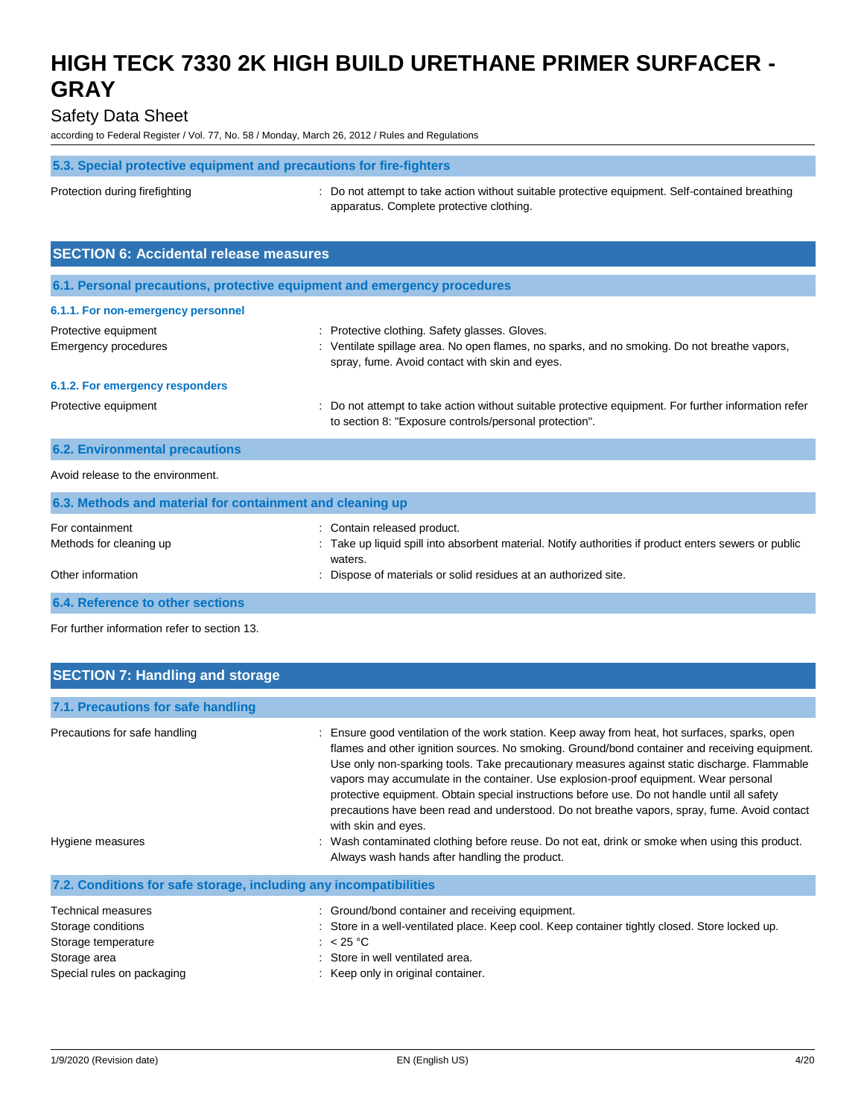### Safety Data Sheet

according to Federal Register / Vol. 77, No. 58 / Monday, March 26, 2012 / Rules and Regulations

#### **5.3. Special protective equipment and precautions for fire-fighters**

Protection during firefighting **intercontation** : Do not attempt to take action without suitable protective equipment. Self-contained breathing apparatus. Complete protective clothing.

| <b>SECTION 6: Accidental release measures</b>                            |                                                                                                                                                                                                  |  |  |
|--------------------------------------------------------------------------|--------------------------------------------------------------------------------------------------------------------------------------------------------------------------------------------------|--|--|
| 6.1. Personal precautions, protective equipment and emergency procedures |                                                                                                                                                                                                  |  |  |
| 6.1.1. For non-emergency personnel                                       |                                                                                                                                                                                                  |  |  |
| Protective equipment<br>Emergency procedures                             | : Protective clothing. Safety glasses. Gloves.<br>: Ventilate spillage area. No open flames, no sparks, and no smoking. Do not breathe vapors,<br>spray, fume. Avoid contact with skin and eyes. |  |  |
| 6.1.2. For emergency responders                                          |                                                                                                                                                                                                  |  |  |
| Protective equipment                                                     | : Do not attempt to take action without suitable protective equipment. For further information refer<br>to section 8: "Exposure controls/personal protection".                                   |  |  |
| <b>6.2. Environmental precautions</b>                                    |                                                                                                                                                                                                  |  |  |
| Avoid release to the environment.                                        |                                                                                                                                                                                                  |  |  |

| 6.3. Methods and material for containment and cleaning up |                                                                                                                |  |  |
|-----------------------------------------------------------|----------------------------------------------------------------------------------------------------------------|--|--|
| For containment                                           | : Contain released product.                                                                                    |  |  |
| Methods for cleaning up                                   | Take up liquid spill into absorbent material. Notify authorities if product enters sewers or public<br>waters. |  |  |
| Other information                                         | : Dispose of materials or solid residues at an authorized site.                                                |  |  |
| <b>6.4. Reference to other sections</b>                   |                                                                                                                |  |  |

For further information refer to section 13.

| <b>SECTION 7: Handling and storage</b>                            |                                                                                                                                                                                                                                                                                                                                                                                                                                                                                                                                                                                                                |
|-------------------------------------------------------------------|----------------------------------------------------------------------------------------------------------------------------------------------------------------------------------------------------------------------------------------------------------------------------------------------------------------------------------------------------------------------------------------------------------------------------------------------------------------------------------------------------------------------------------------------------------------------------------------------------------------|
| 7.1. Precautions for safe handling                                |                                                                                                                                                                                                                                                                                                                                                                                                                                                                                                                                                                                                                |
| Precautions for safe handling                                     | : Ensure good ventilation of the work station. Keep away from heat, hot surfaces, sparks, open<br>flames and other ignition sources. No smoking. Ground/bond container and receiving equipment.<br>Use only non-sparking tools. Take precautionary measures against static discharge. Flammable<br>vapors may accumulate in the container. Use explosion-proof equipment. Wear personal<br>protective equipment. Obtain special instructions before use. Do not handle until all safety<br>precautions have been read and understood. Do not breathe vapors, spray, fume. Avoid contact<br>with skin and eyes. |
| Hygiene measures                                                  | : Wash contaminated clothing before reuse. Do not eat, drink or smoke when using this product.<br>Always wash hands after handling the product.                                                                                                                                                                                                                                                                                                                                                                                                                                                                |
| 7.2. Conditions for safe storage, including any incompatibilities |                                                                                                                                                                                                                                                                                                                                                                                                                                                                                                                                                                                                                |
| <b>Technical measures</b>                                         | Ground/bond container and receiving equipment.                                                                                                                                                                                                                                                                                                                                                                                                                                                                                                                                                                 |
| Storage conditions                                                | Store in a well-ventilated place. Keep cool. Keep container tightly closed. Store locked up.                                                                                                                                                                                                                                                                                                                                                                                                                                                                                                                   |
| Storage temperature                                               | : $< 25 °C$                                                                                                                                                                                                                                                                                                                                                                                                                                                                                                                                                                                                    |
| Storage area                                                      | Store in well ventilated area.                                                                                                                                                                                                                                                                                                                                                                                                                                                                                                                                                                                 |
| Special rules on packaging                                        | Keep only in original container.                                                                                                                                                                                                                                                                                                                                                                                                                                                                                                                                                                               |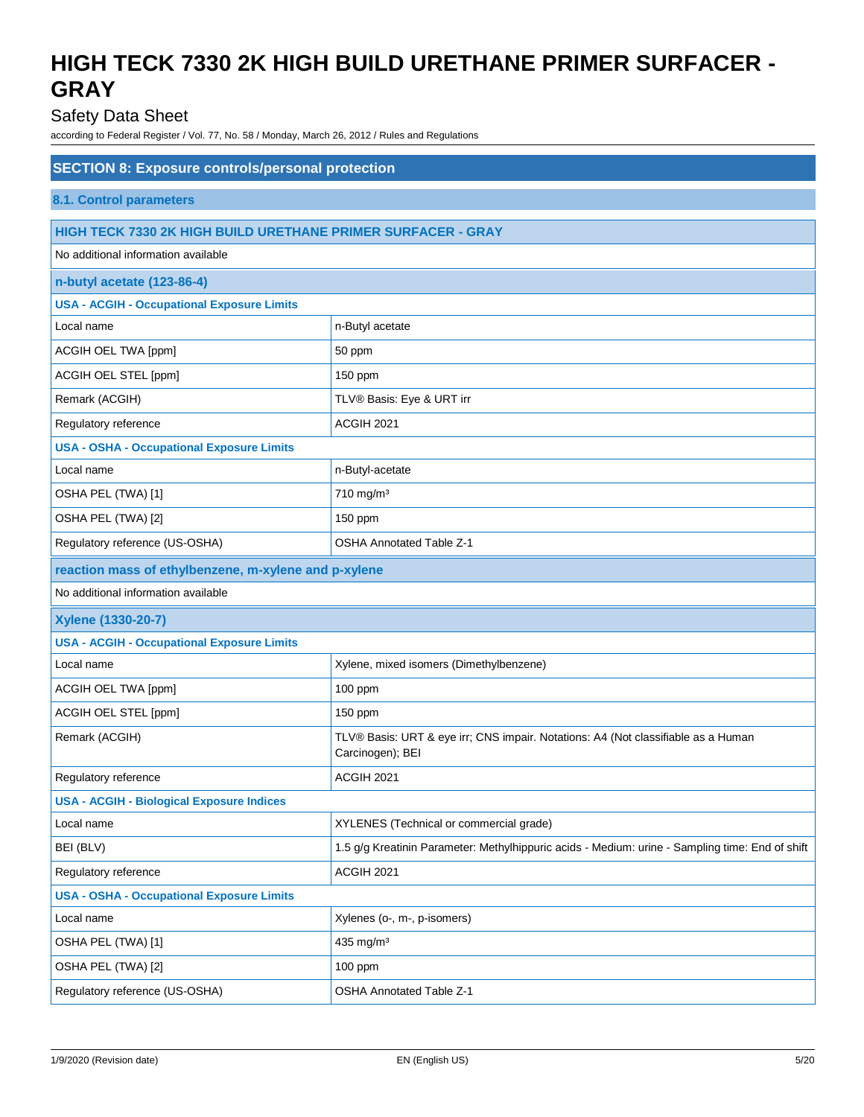## Safety Data Sheet

| <b>SECTION 8: Exposure controls/personal protection</b>             |                                                                                                       |  |
|---------------------------------------------------------------------|-------------------------------------------------------------------------------------------------------|--|
| <b>8.1. Control parameters</b>                                      |                                                                                                       |  |
| <b>HIGH TECK 7330 2K HIGH BUILD URETHANE PRIMER SURFACER - GRAY</b> |                                                                                                       |  |
| No additional information available                                 |                                                                                                       |  |
| n-butyl acetate (123-86-4)                                          |                                                                                                       |  |
| <b>USA - ACGIH - Occupational Exposure Limits</b>                   |                                                                                                       |  |
| Local name                                                          | n-Butyl acetate                                                                                       |  |
| ACGIH OEL TWA [ppm]                                                 | 50 ppm                                                                                                |  |
| ACGIH OEL STEL [ppm]                                                | 150 ppm                                                                                               |  |
| Remark (ACGIH)                                                      | TLV® Basis: Eye & URT irr                                                                             |  |
| Regulatory reference                                                | ACGIH 2021                                                                                            |  |
| <b>USA - OSHA - Occupational Exposure Limits</b>                    |                                                                                                       |  |
| Local name                                                          | n-Butyl-acetate                                                                                       |  |
| OSHA PEL (TWA) [1]                                                  | 710 mg/m <sup>3</sup>                                                                                 |  |
| OSHA PEL (TWA) [2]                                                  | 150 ppm                                                                                               |  |
| Regulatory reference (US-OSHA)                                      | <b>OSHA Annotated Table Z-1</b>                                                                       |  |
| reaction mass of ethylbenzene, m-xylene and p-xylene                |                                                                                                       |  |
| No additional information available                                 |                                                                                                       |  |
| Xylene (1330-20-7)                                                  |                                                                                                       |  |
| <b>USA - ACGIH - Occupational Exposure Limits</b>                   |                                                                                                       |  |
| Local name                                                          | Xylene, mixed isomers (Dimethylbenzene)                                                               |  |
| ACGIH OEL TWA [ppm]                                                 | 100 ppm                                                                                               |  |
| ACGIH OEL STEL [ppm]                                                | 150 ppm                                                                                               |  |
| Remark (ACGIH)                                                      | TLV® Basis: URT & eye irr; CNS impair. Notations: A4 (Not classifiable as a Human<br>Carcinogen); BEI |  |
| Regulatory reference                                                | ACGIH 2021                                                                                            |  |
| <b>USA - ACGIH - Biological Exposure Indices</b>                    |                                                                                                       |  |
| Local name                                                          | XYLENES (Technical or commercial grade)                                                               |  |
| BEI (BLV)                                                           | 1.5 g/g Kreatinin Parameter: Methylhippuric acids - Medium: urine - Sampling time: End of shift       |  |
| Regulatory reference                                                | ACGIH 2021                                                                                            |  |
| <b>USA - OSHA - Occupational Exposure Limits</b>                    |                                                                                                       |  |
| Local name                                                          | Xylenes (o-, m-, p-isomers)                                                                           |  |
| OSHA PEL (TWA) [1]                                                  | 435 mg/m <sup>3</sup>                                                                                 |  |
| OSHA PEL (TWA) [2]                                                  | 100 ppm                                                                                               |  |
| Regulatory reference (US-OSHA)                                      | <b>OSHA Annotated Table Z-1</b>                                                                       |  |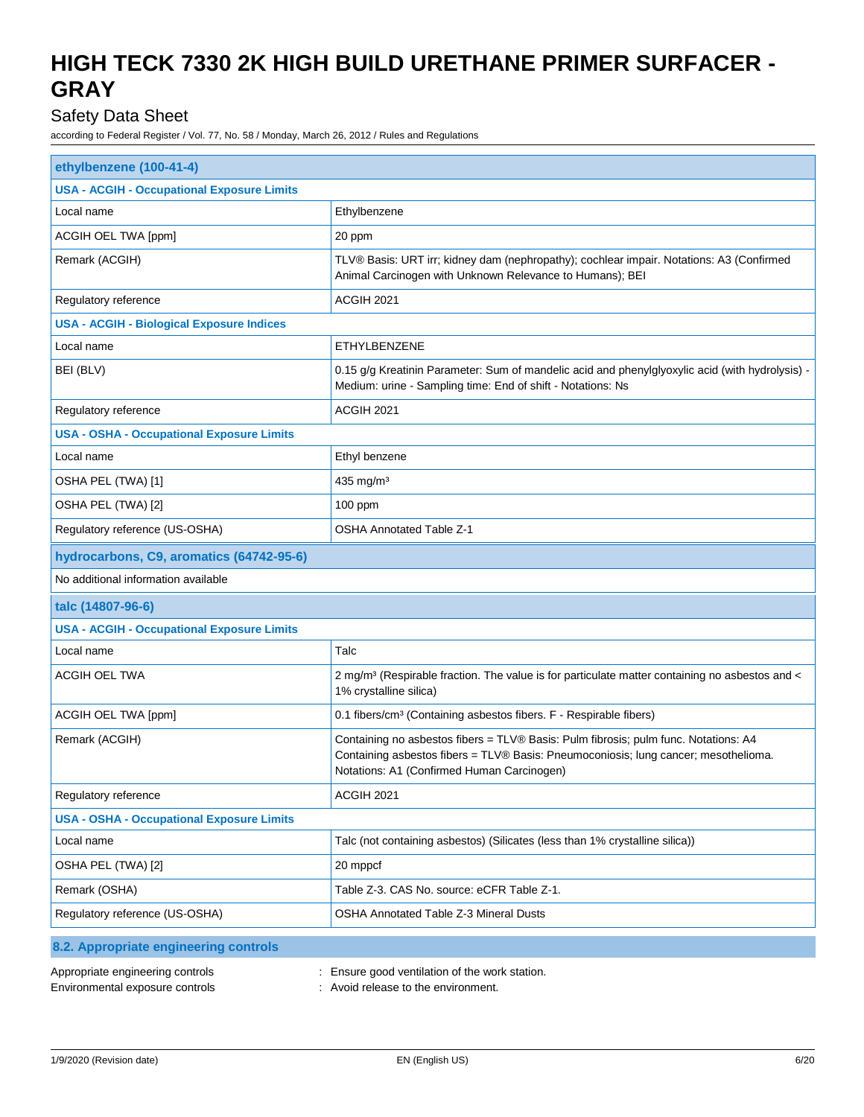## Safety Data Sheet

| ethylbenzene (100-41-4)                                             |                                                                                                                                                                                                                          |  |
|---------------------------------------------------------------------|--------------------------------------------------------------------------------------------------------------------------------------------------------------------------------------------------------------------------|--|
| <b>USA - ACGIH - Occupational Exposure Limits</b>                   |                                                                                                                                                                                                                          |  |
| Local name                                                          | Ethylbenzene                                                                                                                                                                                                             |  |
| ACGIH OEL TWA [ppm]                                                 | 20 ppm                                                                                                                                                                                                                   |  |
| Remark (ACGIH)                                                      | TLV® Basis: URT irr; kidney dam (nephropathy); cochlear impair. Notations: A3 (Confirmed<br>Animal Carcinogen with Unknown Relevance to Humans); BEI                                                                     |  |
| Regulatory reference                                                | ACGIH 2021                                                                                                                                                                                                               |  |
| <b>USA - ACGIH - Biological Exposure Indices</b>                    |                                                                                                                                                                                                                          |  |
| Local name                                                          | <b>ETHYLBENZENE</b>                                                                                                                                                                                                      |  |
| BEI (BLV)                                                           | 0.15 g/g Kreatinin Parameter: Sum of mandelic acid and phenylglyoxylic acid (with hydrolysis) -<br>Medium: urine - Sampling time: End of shift - Notations: Ns                                                           |  |
| Regulatory reference                                                | <b>ACGIH 2021</b>                                                                                                                                                                                                        |  |
| <b>USA - OSHA - Occupational Exposure Limits</b>                    |                                                                                                                                                                                                                          |  |
| Local name                                                          | Ethyl benzene                                                                                                                                                                                                            |  |
| OSHA PEL (TWA) [1]                                                  | 435 mg/m <sup>3</sup>                                                                                                                                                                                                    |  |
| OSHA PEL (TWA) [2]                                                  | 100 ppm                                                                                                                                                                                                                  |  |
| Regulatory reference (US-OSHA)                                      | <b>OSHA Annotated Table Z-1</b>                                                                                                                                                                                          |  |
| hydrocarbons, C9, aromatics (64742-95-6)                            |                                                                                                                                                                                                                          |  |
| No additional information available                                 |                                                                                                                                                                                                                          |  |
| talc (14807-96-6)                                                   |                                                                                                                                                                                                                          |  |
| <b>USA - ACGIH - Occupational Exposure Limits</b>                   |                                                                                                                                                                                                                          |  |
| Local name                                                          | Talc                                                                                                                                                                                                                     |  |
| ACGIH OEL TWA                                                       | 2 mg/m <sup>3</sup> (Respirable fraction. The value is for particulate matter containing no asbestos and <<br>1% crystalline silica)                                                                                     |  |
| ACGIH OEL TWA [ppm]                                                 | 0.1 fibers/cm <sup>3</sup> (Containing asbestos fibers. F - Respirable fibers)                                                                                                                                           |  |
| Remark (ACGIH)                                                      | Containing no asbestos fibers = TLV® Basis: Pulm fibrosis; pulm func. Notations: A4<br>Containing asbestos fibers = TLV® Basis: Pneumoconiosis; lung cancer; mesothelioma.<br>Notations: A1 (Confirmed Human Carcinogen) |  |
| Regulatory reference                                                | ACGIH 2021                                                                                                                                                                                                               |  |
| <b>USA - OSHA - Occupational Exposure Limits</b>                    |                                                                                                                                                                                                                          |  |
| Local name                                                          | Talc (not containing asbestos) (Silicates (less than 1% crystalline silica))                                                                                                                                             |  |
| OSHA PEL (TWA) [2]                                                  | 20 mppcf                                                                                                                                                                                                                 |  |
| Remark (OSHA)                                                       | Table Z-3. CAS No. source: eCFR Table Z-1.                                                                                                                                                                               |  |
| Regulatory reference (US-OSHA)                                      | <b>OSHA Annotated Table Z-3 Mineral Dusts</b>                                                                                                                                                                            |  |
| 8.2. Appropriate engineering controls                               |                                                                                                                                                                                                                          |  |
| Appropriate engineering controls<br>Environmental exposure controls | Ensure good ventilation of the work station.<br>Avoid release to the environment.                                                                                                                                        |  |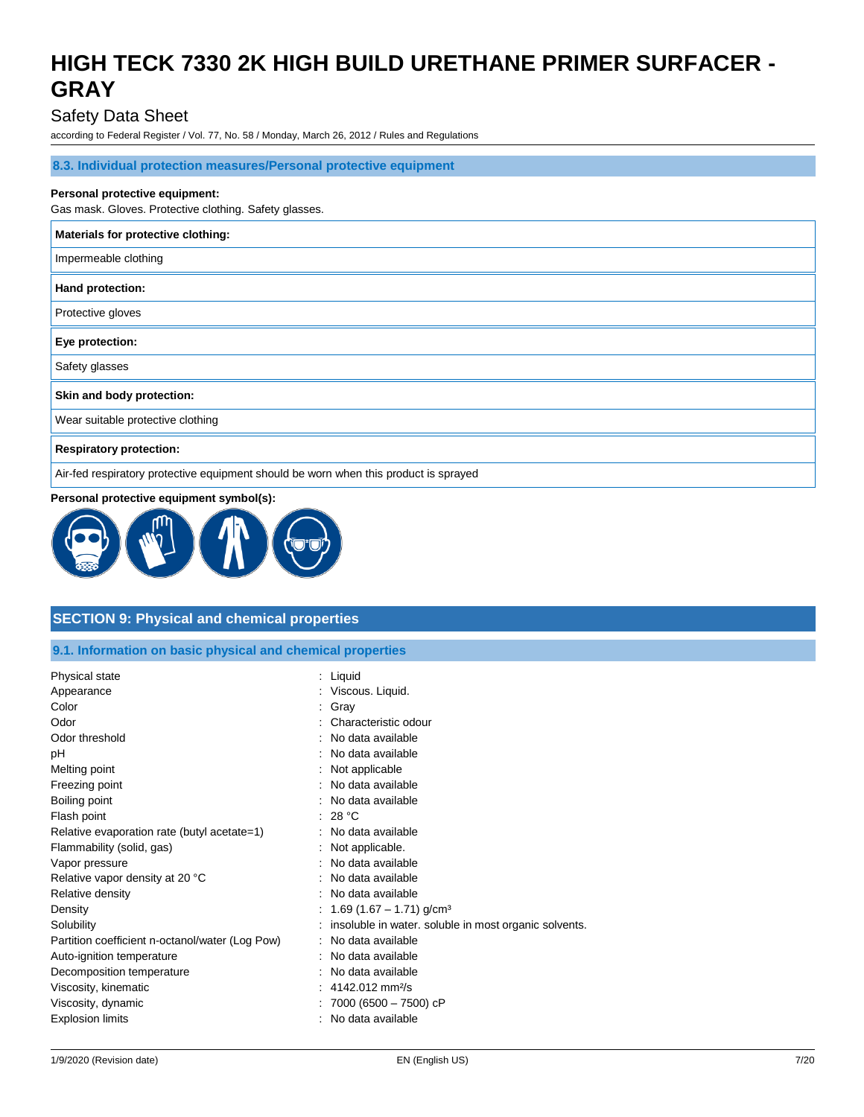### Safety Data Sheet

according to Federal Register / Vol. 77, No. 58 / Monday, March 26, 2012 / Rules and Regulations

#### **8.3. Individual protection measures/Personal protective equipment**

#### **Personal protective equipment:**

Gas mask. Gloves. Protective clothing. Safety glasses.

| Materials for protective clothing:                                                   |
|--------------------------------------------------------------------------------------|
| Impermeable clothing                                                                 |
| Hand protection:                                                                     |
| Protective gloves                                                                    |
| Eye protection:                                                                      |
| Safety glasses                                                                       |
| Skin and body protection:                                                            |
| Wear suitable protective clothing                                                    |
| <b>Respiratory protection:</b>                                                       |
| Air-fed respiratory protective equipment should be worn when this product is sprayed |

#### **Personal protective equipment symbol(s):**



### **SECTION 9: Physical and chemical properties**

|  | 9.1. Information on basic physical and chemical properties |
|--|------------------------------------------------------------|
|  |                                                            |

| Physical state                                  | : Liquid                                              |
|-------------------------------------------------|-------------------------------------------------------|
| Appearance                                      | : Viscous. Liquid.                                    |
| Color                                           | Gray                                                  |
| Odor                                            | Characteristic odour                                  |
| Odor threshold                                  | No data available                                     |
| рH                                              | No data available                                     |
| Melting point                                   | Not applicable                                        |
| Freezing point                                  | No data available                                     |
| Boiling point                                   | : No data available                                   |
| Flash point                                     | 28 °C                                                 |
| Relative evaporation rate (butyl acetate=1)     | No data available                                     |
| Flammability (solid, gas)                       | Not applicable.                                       |
| Vapor pressure                                  | No data available                                     |
| Relative vapor density at 20 °C                 | No data available                                     |
| Relative density                                | No data available                                     |
| Density                                         | 1.69 $(1.67 - 1.71)$ g/cm <sup>3</sup>                |
| Solubility                                      | insoluble in water. soluble in most organic solvents. |
| Partition coefficient n-octanol/water (Log Pow) | No data available                                     |
| Auto-ignition temperature                       | No data available                                     |
| Decomposition temperature                       | No data available                                     |
| Viscosity, kinematic                            | 4142.012 mm <sup>2</sup> /s                           |
| Viscosity, dynamic                              | 7000 (6500 - 7500) cP                                 |
| <b>Explosion limits</b>                         | No data available                                     |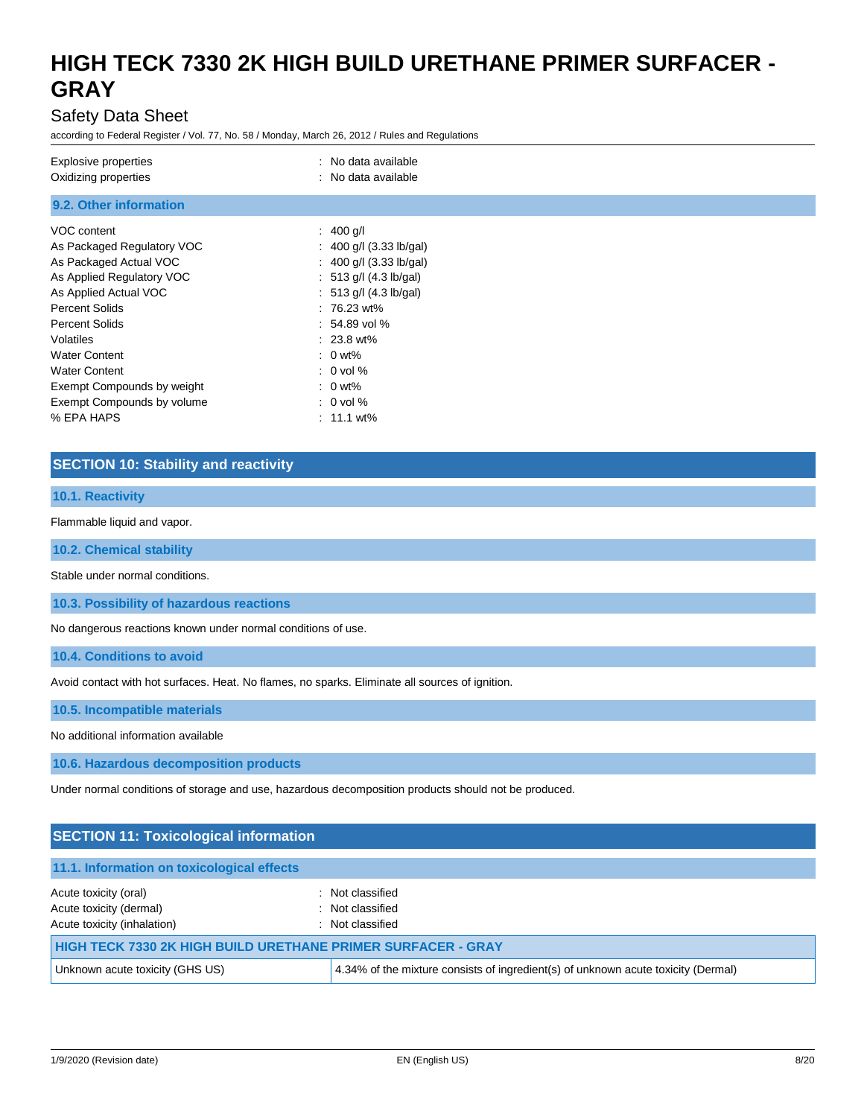### Safety Data Sheet

according to Federal Register / Vol. 77, No. 58 / Monday, March 26, 2012 / Rules and Regulations

| Explosive properties<br>Oxidizing properties | : No data available<br>: No data available |
|----------------------------------------------|--------------------------------------------|
| 9.2. Other information                       |                                            |
| VOC content                                  | : $400$ g/l                                |
| As Packaged Regulatory VOC                   | : 400 g/l $(3.33 \text{ lb/gal})$          |
| As Packaged Actual VOC                       | : 400 g/l (3.33 lb/gal)                    |
| As Applied Regulatory VOC                    | : 513 g/l (4.3 lb/gal)                     |
| As Applied Actual VOC                        | : $513$ g/l (4.3 lb/gal)                   |
| <b>Percent Solids</b>                        | $: 76.23$ wt%                              |
| <b>Percent Solids</b>                        | $: 54.89$ vol %                            |
| Volatiles                                    | $: 23.8$ wt%                               |
| <b>Water Content</b>                         | $: 0$ wt%                                  |
| <b>Water Content</b>                         | $: 0$ vol %                                |
| Exempt Compounds by weight                   | $: 0$ wt%                                  |
| Exempt Compounds by volume                   | $: 0$ vol %                                |
| % EPA HAPS                                   | $: 11.1$ wt%                               |

### **SECTION 10: Stability and reactivity**

### **10.1. Reactivity**

Flammable liquid and vapor.

**10.2. Chemical stability**

Stable under normal conditions.

**10.3. Possibility of hazardous reactions**

No dangerous reactions known under normal conditions of use.

**10.4. Conditions to avoid**

Avoid contact with hot surfaces. Heat. No flames, no sparks. Eliminate all sources of ignition.

**10.5. Incompatible materials**

No additional information available

**10.6. Hazardous decomposition products**

Under normal conditions of storage and use, hazardous decomposition products should not be produced.

| <b>SECTION 11: Toxicological information</b>                                    |                                                                                   |  |
|---------------------------------------------------------------------------------|-----------------------------------------------------------------------------------|--|
| 11.1. Information on toxicological effects                                      |                                                                                   |  |
| Acute toxicity (oral)<br>Acute toxicity (dermal)<br>Acute toxicity (inhalation) | : Not classified<br>: Not classified<br>: Not classified                          |  |
| HIGH TECK 7330 2K HIGH BUILD URETHANE PRIMER SURFACER - GRAY                    |                                                                                   |  |
| Unknown acute toxicity (GHS US)                                                 | 4.34% of the mixture consists of ingredient(s) of unknown acute toxicity (Dermal) |  |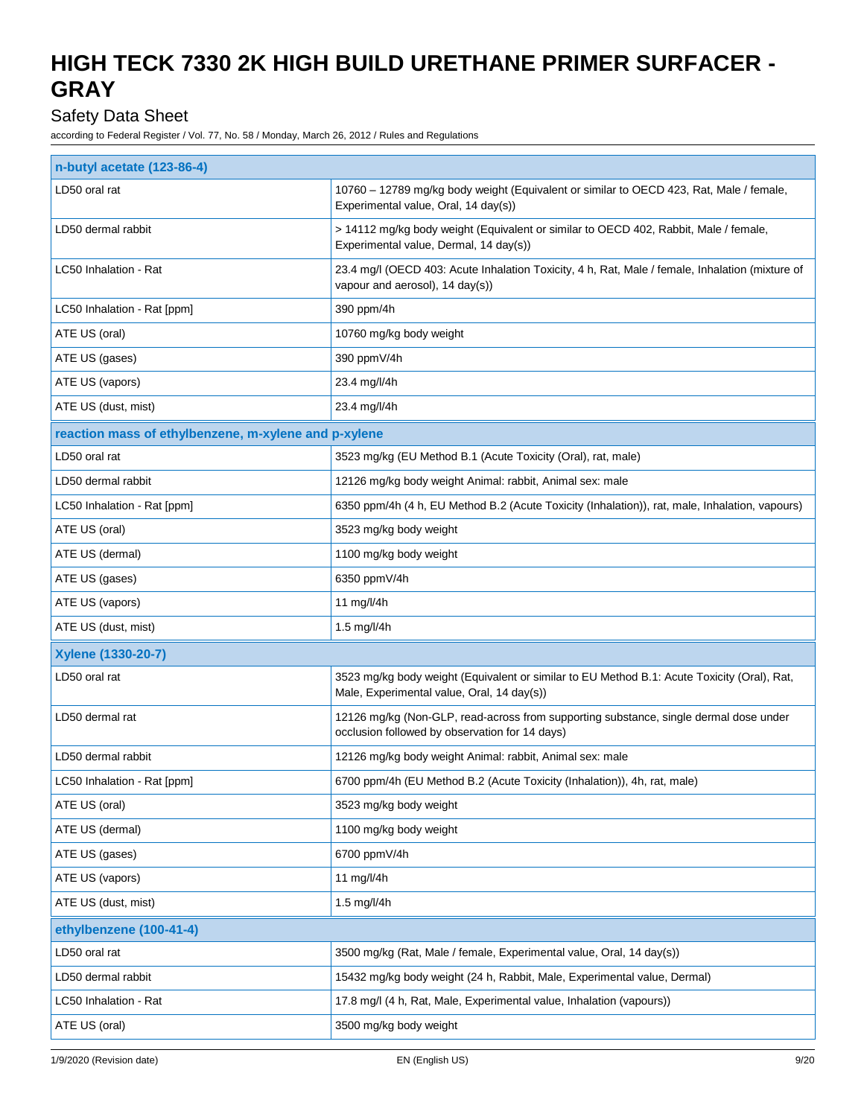## Safety Data Sheet

| n-butyl acetate (123-86-4)                           |                                                                                                                                           |  |
|------------------------------------------------------|-------------------------------------------------------------------------------------------------------------------------------------------|--|
| LD50 oral rat                                        | 10760 - 12789 mg/kg body weight (Equivalent or similar to OECD 423, Rat, Male / female,<br>Experimental value, Oral, 14 day(s))           |  |
| LD50 dermal rabbit                                   | > 14112 mg/kg body weight (Equivalent or similar to OECD 402, Rabbit, Male / female,<br>Experimental value, Dermal, 14 day(s))            |  |
| LC50 Inhalation - Rat                                | 23.4 mg/l (OECD 403: Acute Inhalation Toxicity, 4 h, Rat, Male / female, Inhalation (mixture of<br>vapour and aerosol), 14 day(s))        |  |
| LC50 Inhalation - Rat [ppm]                          | 390 ppm/4h                                                                                                                                |  |
| ATE US (oral)                                        | 10760 mg/kg body weight                                                                                                                   |  |
| ATE US (gases)                                       | 390 ppmV/4h                                                                                                                               |  |
| ATE US (vapors)                                      | 23.4 mg/l/4h                                                                                                                              |  |
| ATE US (dust, mist)                                  | 23.4 mg/l/4h                                                                                                                              |  |
| reaction mass of ethylbenzene, m-xylene and p-xylene |                                                                                                                                           |  |
| LD50 oral rat                                        | 3523 mg/kg (EU Method B.1 (Acute Toxicity (Oral), rat, male)                                                                              |  |
| LD50 dermal rabbit                                   | 12126 mg/kg body weight Animal: rabbit, Animal sex: male                                                                                  |  |
| LC50 Inhalation - Rat [ppm]                          | 6350 ppm/4h (4 h, EU Method B.2 (Acute Toxicity (Inhalation)), rat, male, Inhalation, vapours)                                            |  |
| ATE US (oral)                                        | 3523 mg/kg body weight                                                                                                                    |  |
| ATE US (dermal)                                      | 1100 mg/kg body weight                                                                                                                    |  |
| ATE US (gases)                                       | 6350 ppmV/4h                                                                                                                              |  |
| ATE US (vapors)                                      | 11 mg/l/4h                                                                                                                                |  |
| ATE US (dust, mist)                                  | 1.5 mg/l/4h                                                                                                                               |  |
| Xylene (1330-20-7)                                   |                                                                                                                                           |  |
| LD50 oral rat                                        | 3523 mg/kg body weight (Equivalent or similar to EU Method B.1: Acute Toxicity (Oral), Rat,<br>Male, Experimental value, Oral, 14 day(s)) |  |
| LD50 dermal rat                                      | 12126 mg/kg (Non-GLP, read-across from supporting substance, single dermal dose under<br>occlusion followed by observation for 14 days)   |  |
| LD50 dermal rabbit                                   | 12126 mg/kg body weight Animal: rabbit, Animal sex: male                                                                                  |  |
| LC50 Inhalation - Rat [ppm]                          | 6700 ppm/4h (EU Method B.2 (Acute Toxicity (Inhalation)), 4h, rat, male)                                                                  |  |
| ATE US (oral)                                        | 3523 mg/kg body weight                                                                                                                    |  |
| ATE US (dermal)                                      | 1100 mg/kg body weight                                                                                                                    |  |
| ATE US (gases)                                       | 6700 ppmV/4h                                                                                                                              |  |
| ATE US (vapors)                                      | 11 mg/l/4h                                                                                                                                |  |
| ATE US (dust, mist)                                  | 1.5 mg/l/4h                                                                                                                               |  |
| ethylbenzene (100-41-4)                              |                                                                                                                                           |  |
| LD50 oral rat                                        | 3500 mg/kg (Rat, Male / female, Experimental value, Oral, 14 day(s))                                                                      |  |
| LD50 dermal rabbit                                   | 15432 mg/kg body weight (24 h, Rabbit, Male, Experimental value, Dermal)                                                                  |  |
| LC50 Inhalation - Rat                                | 17.8 mg/l (4 h, Rat, Male, Experimental value, Inhalation (vapours))                                                                      |  |
| ATE US (oral)                                        | 3500 mg/kg body weight                                                                                                                    |  |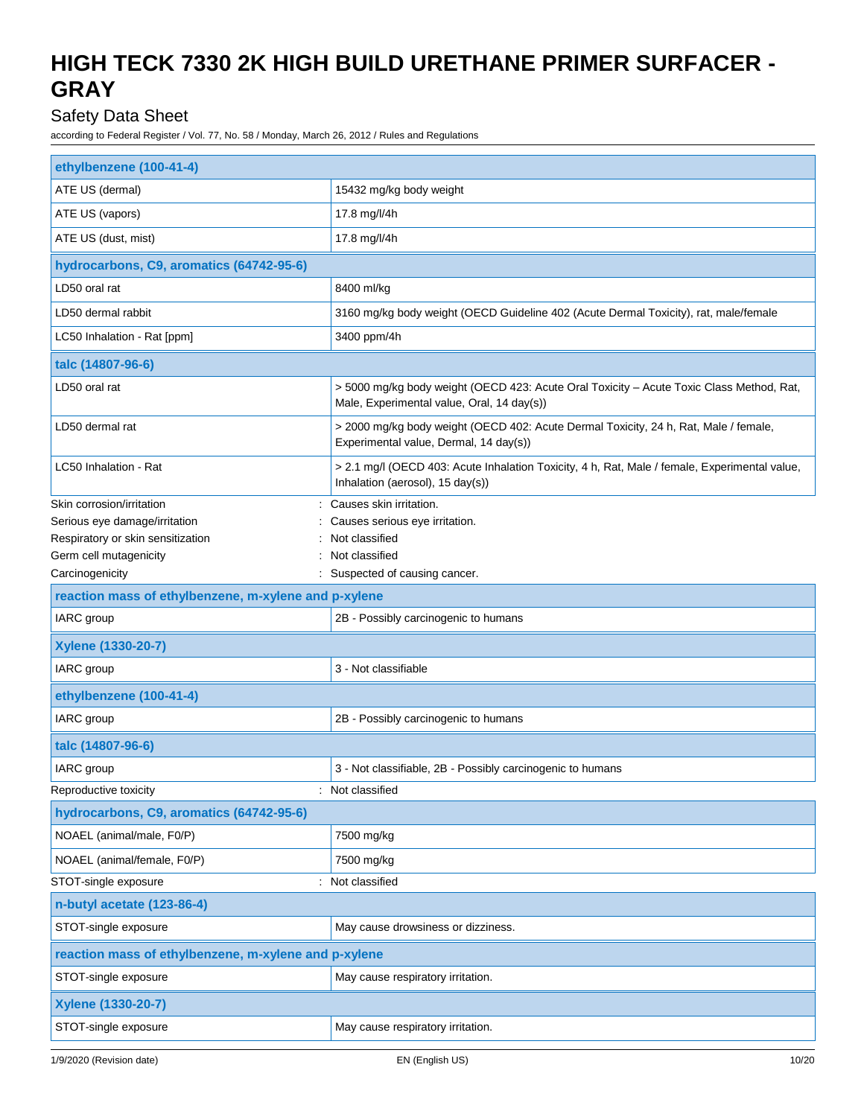## Safety Data Sheet

| ethylbenzene (100-41-4)                                     |                                                                                                                                        |  |
|-------------------------------------------------------------|----------------------------------------------------------------------------------------------------------------------------------------|--|
| ATE US (dermal)                                             | 15432 mg/kg body weight                                                                                                                |  |
| ATE US (vapors)                                             | 17.8 mg/l/4h                                                                                                                           |  |
| ATE US (dust, mist)                                         | 17.8 mg/l/4h                                                                                                                           |  |
| hydrocarbons, C9, aromatics (64742-95-6)                    |                                                                                                                                        |  |
| LD50 oral rat                                               | 8400 ml/kg                                                                                                                             |  |
| LD50 dermal rabbit                                          | 3160 mg/kg body weight (OECD Guideline 402 (Acute Dermal Toxicity), rat, male/female                                                   |  |
| LC50 Inhalation - Rat [ppm]                                 | 3400 ppm/4h                                                                                                                            |  |
| talc (14807-96-6)                                           |                                                                                                                                        |  |
| LD50 oral rat                                               | > 5000 mg/kg body weight (OECD 423: Acute Oral Toxicity - Acute Toxic Class Method, Rat,<br>Male, Experimental value, Oral, 14 day(s)) |  |
| LD50 dermal rat                                             | > 2000 mg/kg body weight (OECD 402: Acute Dermal Toxicity, 24 h, Rat, Male / female,<br>Experimental value, Dermal, 14 day(s))         |  |
| LC50 Inhalation - Rat                                       | > 2.1 mg/l (OECD 403: Acute Inhalation Toxicity, 4 h, Rat, Male / female, Experimental value,<br>Inhalation (aerosol), 15 day(s))      |  |
| Skin corrosion/irritation                                   | Causes skin irritation.                                                                                                                |  |
| Serious eye damage/irritation                               | Causes serious eye irritation.                                                                                                         |  |
| Respiratory or skin sensitization<br>Germ cell mutagenicity | Not classified<br>Not classified                                                                                                       |  |
| Carcinogenicity                                             | Suspected of causing cancer.                                                                                                           |  |
| reaction mass of ethylbenzene, m-xylene and p-xylene        |                                                                                                                                        |  |
| IARC group                                                  | 2B - Possibly carcinogenic to humans                                                                                                   |  |
| Xylene (1330-20-7)                                          |                                                                                                                                        |  |
| IARC group                                                  | 3 - Not classifiable                                                                                                                   |  |
| ethylbenzene (100-41-4)                                     |                                                                                                                                        |  |
| IARC group                                                  | 2B - Possibly carcinogenic to humans                                                                                                   |  |
| talc (14807-96-6)                                           |                                                                                                                                        |  |
| IARC group                                                  | 3 - Not classifiable, 2B - Possibly carcinogenic to humans                                                                             |  |
| Reproductive toxicity                                       | : Not classified                                                                                                                       |  |
| hydrocarbons, C9, aromatics (64742-95-6)                    |                                                                                                                                        |  |
| NOAEL (animal/male, F0/P)                                   | 7500 mg/kg                                                                                                                             |  |
| NOAEL (animal/female, F0/P)                                 | 7500 mg/kg                                                                                                                             |  |
| STOT-single exposure                                        | Not classified                                                                                                                         |  |
| n-butyl acetate (123-86-4)                                  |                                                                                                                                        |  |
| STOT-single exposure                                        | May cause drowsiness or dizziness.                                                                                                     |  |
| reaction mass of ethylbenzene, m-xylene and p-xylene        |                                                                                                                                        |  |
| STOT-single exposure                                        | May cause respiratory irritation.                                                                                                      |  |
| Xylene (1330-20-7)                                          |                                                                                                                                        |  |
| STOT-single exposure                                        | May cause respiratory irritation.                                                                                                      |  |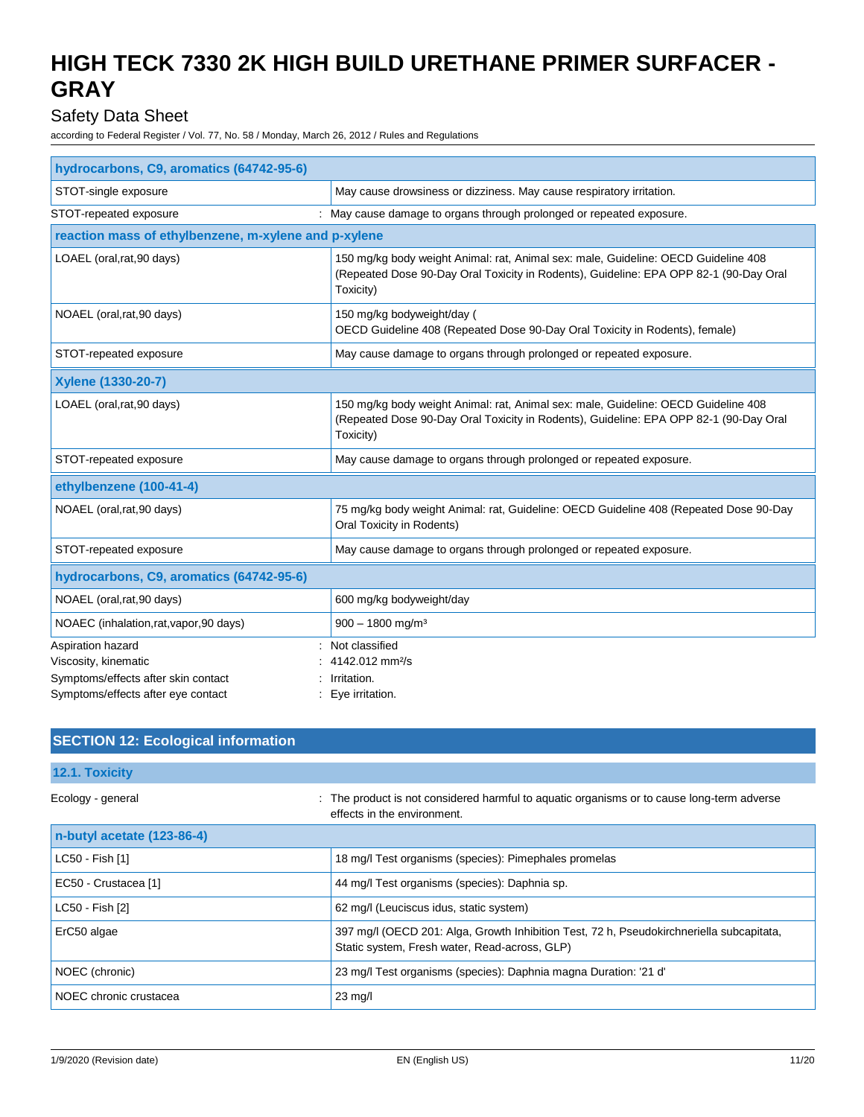## Safety Data Sheet

| hydrocarbons, C9, aromatics (64742-95-6)                                         |                                                                                                                                                                                          |  |
|----------------------------------------------------------------------------------|------------------------------------------------------------------------------------------------------------------------------------------------------------------------------------------|--|
| STOT-single exposure                                                             | May cause drowsiness or dizziness. May cause respiratory irritation.                                                                                                                     |  |
| STOT-repeated exposure                                                           | May cause damage to organs through prolonged or repeated exposure.                                                                                                                       |  |
| reaction mass of ethylbenzene, m-xylene and p-xylene                             |                                                                                                                                                                                          |  |
| LOAEL (oral, rat, 90 days)                                                       | 150 mg/kg body weight Animal: rat, Animal sex: male, Guideline: OECD Guideline 408<br>(Repeated Dose 90-Day Oral Toxicity in Rodents), Guideline: EPA OPP 82-1 (90-Day Oral<br>Toxicity) |  |
| NOAEL (oral, rat, 90 days)                                                       | 150 mg/kg bodyweight/day (<br>OECD Guideline 408 (Repeated Dose 90-Day Oral Toxicity in Rodents), female)                                                                                |  |
| STOT-repeated exposure                                                           | May cause damage to organs through prolonged or repeated exposure.                                                                                                                       |  |
| Xylene (1330-20-7)                                                               |                                                                                                                                                                                          |  |
| LOAEL (oral, rat, 90 days)                                                       | 150 mg/kg body weight Animal: rat, Animal sex: male, Guideline: OECD Guideline 408<br>(Repeated Dose 90-Day Oral Toxicity in Rodents), Guideline: EPA OPP 82-1 (90-Day Oral<br>Toxicity) |  |
| STOT-repeated exposure                                                           | May cause damage to organs through prolonged or repeated exposure.                                                                                                                       |  |
| ethylbenzene (100-41-4)                                                          |                                                                                                                                                                                          |  |
| NOAEL (oral, rat, 90 days)                                                       | 75 mg/kg body weight Animal: rat, Guideline: OECD Guideline 408 (Repeated Dose 90-Day<br>Oral Toxicity in Rodents)                                                                       |  |
| STOT-repeated exposure                                                           | May cause damage to organs through prolonged or repeated exposure.                                                                                                                       |  |
| hydrocarbons, C9, aromatics (64742-95-6)                                         |                                                                                                                                                                                          |  |
| NOAEL (oral, rat, 90 days)                                                       | 600 mg/kg bodyweight/day                                                                                                                                                                 |  |
| NOAEC (inhalation, rat, vapor, 90 days)                                          | $900 - 1800$ mg/m <sup>3</sup>                                                                                                                                                           |  |
| Aspiration hazard<br>Viscosity, kinematic<br>Symptoms/effects after skin contact | Not classified<br>4142.012 mm <sup>2</sup> /s<br>Irritation.                                                                                                                             |  |
| Symptoms/effects after eye contact                                               | Eye irritation.                                                                                                                                                                          |  |

| <b>SECTION 12: Ecological information</b> |                                                                                                                                           |
|-------------------------------------------|-------------------------------------------------------------------------------------------------------------------------------------------|
| 12.1. Toxicity                            |                                                                                                                                           |
| Ecology - general                         | : The product is not considered harmful to aguatic organisms or to cause long-term adverse<br>effects in the environment.                 |
| n-butyl acetate (123-86-4)                |                                                                                                                                           |
| LC50 - Fish [1]                           | 18 mg/l Test organisms (species): Pimephales promelas                                                                                     |
| EC50 - Crustacea [1]                      | 44 mg/l Test organisms (species): Daphnia sp.                                                                                             |
| LC50 - Fish [2]                           | 62 mg/l (Leuciscus idus, static system)                                                                                                   |
| ErC50 algae                               | 397 mg/l (OECD 201: Alga, Growth Inhibition Test, 72 h, Pseudokirchneriella subcapitata,<br>Static system, Fresh water, Read-across, GLP) |
| NOEC (chronic)                            | 23 mg/l Test organisms (species): Daphnia magna Duration: '21 d'                                                                          |
| NOEC chronic crustacea                    | $23 \text{ mg/l}$                                                                                                                         |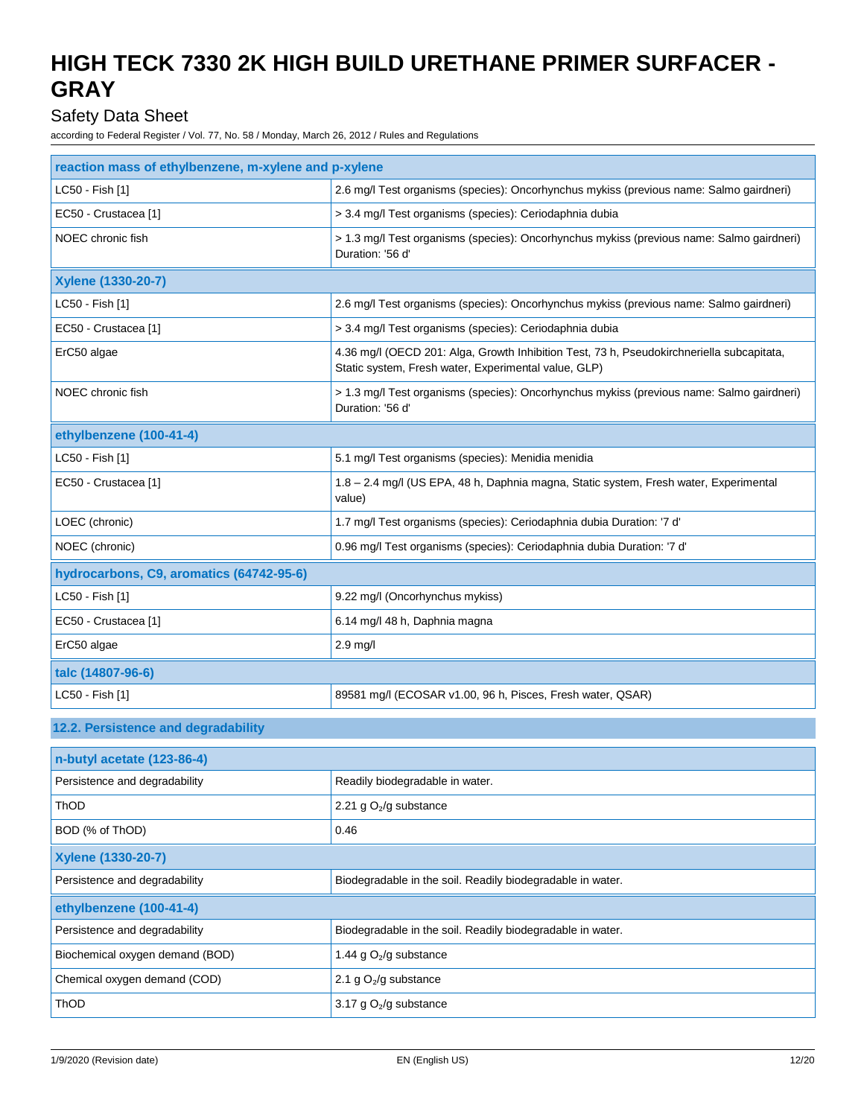## Safety Data Sheet

| reaction mass of ethylbenzene, m-xylene and p-xylene |                                                                                                                                                   |  |
|------------------------------------------------------|---------------------------------------------------------------------------------------------------------------------------------------------------|--|
| LC50 - Fish [1]                                      | 2.6 mg/l Test organisms (species): Oncorhynchus mykiss (previous name: Salmo gairdneri)                                                           |  |
| EC50 - Crustacea [1]                                 | > 3.4 mg/l Test organisms (species): Ceriodaphnia dubia                                                                                           |  |
| NOEC chronic fish                                    | > 1.3 mg/l Test organisms (species): Oncorhynchus mykiss (previous name: Salmo gairdneri)<br>Duration: '56 d'                                     |  |
| <b>Xylene (1330-20-7)</b>                            |                                                                                                                                                   |  |
| LC50 - Fish [1]                                      | 2.6 mg/l Test organisms (species): Oncorhynchus mykiss (previous name: Salmo gairdneri)                                                           |  |
| EC50 - Crustacea [1]                                 | > 3.4 mg/l Test organisms (species): Ceriodaphnia dubia                                                                                           |  |
| ErC50 algae                                          | 4.36 mg/l (OECD 201: Alga, Growth Inhibition Test, 73 h, Pseudokirchneriella subcapitata,<br>Static system, Fresh water, Experimental value, GLP) |  |
| NOEC chronic fish                                    | > 1.3 mg/l Test organisms (species): Oncorhynchus mykiss (previous name: Salmo gairdneri)<br>Duration: '56 d'                                     |  |
| ethylbenzene (100-41-4)                              |                                                                                                                                                   |  |
| LC50 - Fish [1]                                      | 5.1 mg/l Test organisms (species): Menidia menidia                                                                                                |  |
| EC50 - Crustacea [1]                                 | 1.8 - 2.4 mg/l (US EPA, 48 h, Daphnia magna, Static system, Fresh water, Experimental<br>value)                                                   |  |
| LOEC (chronic)                                       | 1.7 mg/l Test organisms (species): Ceriodaphnia dubia Duration: '7 d'                                                                             |  |
| NOEC (chronic)                                       | 0.96 mg/l Test organisms (species): Ceriodaphnia dubia Duration: '7 d'                                                                            |  |
| hydrocarbons, C9, aromatics (64742-95-6)             |                                                                                                                                                   |  |
| LC50 - Fish [1]                                      | 9.22 mg/l (Oncorhynchus mykiss)                                                                                                                   |  |
| EC50 - Crustacea [1]                                 | 6.14 mg/l 48 h, Daphnia magna                                                                                                                     |  |
| ErC50 algae                                          | 2.9 mg/l                                                                                                                                          |  |
| talc (14807-96-6)                                    |                                                                                                                                                   |  |
| LC50 - Fish [1]                                      | 89581 mg/l (ECOSAR v1.00, 96 h, Pisces, Fresh water, QSAR)                                                                                        |  |
| 12.2. Persistence and degradability                  |                                                                                                                                                   |  |
| n-butyl acetate (123-86-4)                           |                                                                                                                                                   |  |
| Persistence and degradability                        | Readily biodegradable in water.                                                                                                                   |  |
| ThOD                                                 | 2.21 g O <sub>2</sub> /g substance                                                                                                                |  |
| BOD (% of ThOD)                                      | 0.46                                                                                                                                              |  |
| <b>Xylene (1330-20-7)</b>                            |                                                                                                                                                   |  |
| Persistence and degradability                        | Biodegradable in the soil. Readily biodegradable in water.                                                                                        |  |
| ethylbenzene (100-41-4)                              |                                                                                                                                                   |  |
| Persistence and degradability                        | Biodegradable in the soil. Readily biodegradable in water.                                                                                        |  |
| Biochemical oxygen demand (BOD)                      | 1.44 g O <sub>2</sub> /g substance                                                                                                                |  |
| Chemical oxygen demand (COD)                         | 2.1 g $O_2$ /g substance                                                                                                                          |  |
| ThOD                                                 | 3.17 g $O_2$ /g substance                                                                                                                         |  |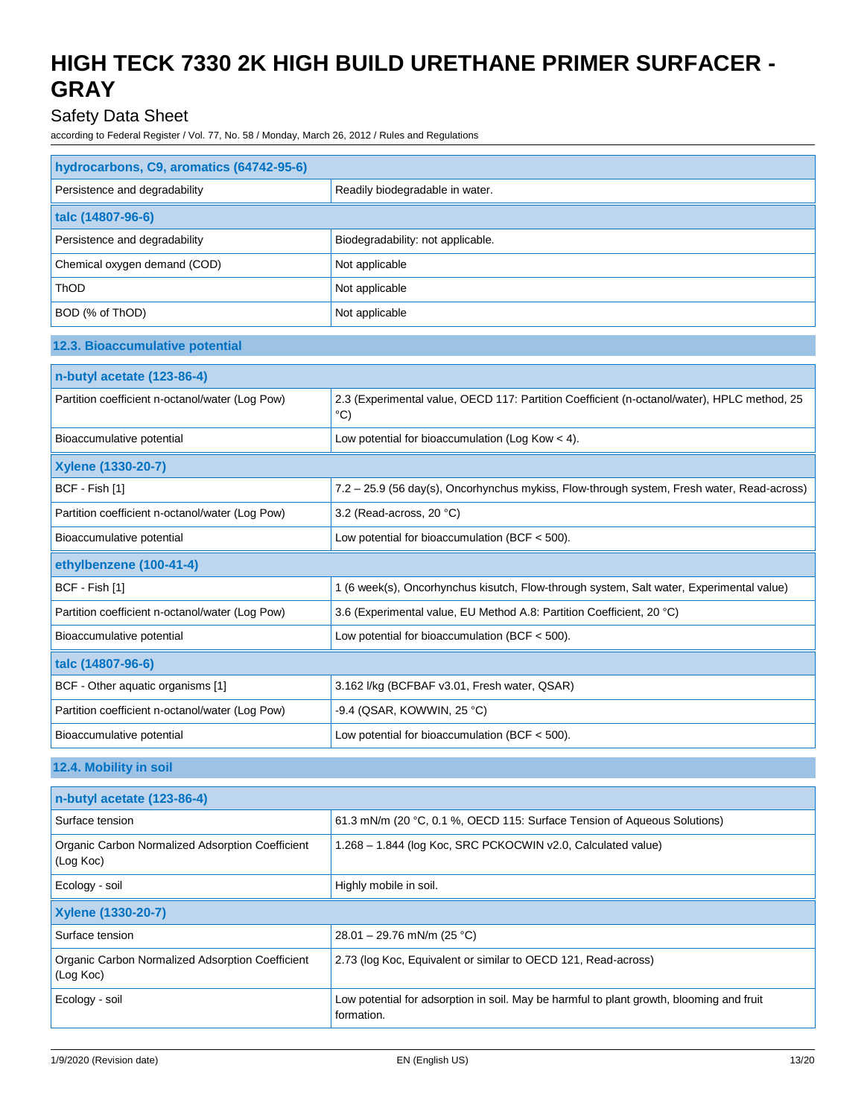## Safety Data Sheet

according to Federal Register / Vol. 77, No. 58 / Monday, March 26, 2012 / Rules and Regulations

| hydrocarbons, C9, aromatics (64742-95-6)        |                                                                                                              |  |
|-------------------------------------------------|--------------------------------------------------------------------------------------------------------------|--|
| Persistence and degradability                   | Readily biodegradable in water.                                                                              |  |
| talc (14807-96-6)                               |                                                                                                              |  |
| Persistence and degradability                   | Biodegradability: not applicable.                                                                            |  |
| Chemical oxygen demand (COD)                    | Not applicable                                                                                               |  |
| ThOD                                            | Not applicable                                                                                               |  |
| BOD (% of ThOD)                                 | Not applicable                                                                                               |  |
| 12.3. Bioaccumulative potential                 |                                                                                                              |  |
| n-butyl acetate (123-86-4)                      |                                                                                                              |  |
| Partition coefficient n-octanol/water (Log Pow) | 2.3 (Experimental value, OECD 117: Partition Coefficient (n-octanol/water), HPLC method, 25<br>$^{\circ}$ C) |  |
| Bioaccumulative potential                       | Low potential for bioaccumulation (Log Kow $<$ 4).                                                           |  |
| <b>Xylene (1330-20-7)</b>                       |                                                                                                              |  |
| BCF - Fish [1]                                  | 7.2 - 25.9 (56 day(s), Oncorhynchus mykiss, Flow-through system, Fresh water, Read-across)                   |  |
| Partition coefficient n-octanol/water (Log Pow) | 3.2 (Read-across, 20 °C)                                                                                     |  |
| Bioaccumulative potential                       |                                                                                                              |  |
|                                                 | Low potential for bioaccumulation (BCF $<$ 500).                                                             |  |
| ethylbenzene (100-41-4)                         |                                                                                                              |  |
| BCF - Fish [1]                                  | 1 (6 week(s), Oncorhynchus kisutch, Flow-through system, Salt water, Experimental value)                     |  |
| Partition coefficient n-octanol/water (Log Pow) | 3.6 (Experimental value, EU Method A.8: Partition Coefficient, 20 °C)                                        |  |
| Bioaccumulative potential                       | Low potential for bioaccumulation (BCF $<$ 500).                                                             |  |
| talc (14807-96-6)                               |                                                                                                              |  |
| BCF - Other aquatic organisms [1]               | 3.162 I/kg (BCFBAF v3.01, Fresh water, QSAR)                                                                 |  |
| Partition coefficient n-octanol/water (Log Pow) | -9.4 (QSAR, KOWWIN, 25 °C)                                                                                   |  |

## **12.4. Mobility in soil**

| n-butyl acetate (123-86-4)                                    |                                                                                                        |  |
|---------------------------------------------------------------|--------------------------------------------------------------------------------------------------------|--|
| Surface tension                                               | 61.3 mN/m (20 °C, 0.1 %, OECD 115: Surface Tension of Aqueous Solutions)                               |  |
| Organic Carbon Normalized Adsorption Coefficient<br>(Log Koc) | 1.268 - 1.844 (log Koc, SRC PCKOCWIN v2.0, Calculated value)                                           |  |
| Ecology - soil                                                | Highly mobile in soil.                                                                                 |  |
| <b>Xylene (1330-20-7)</b>                                     |                                                                                                        |  |
| Surface tension                                               | 28.01 – 29.76 mN/m (25 °C)                                                                             |  |
| Organic Carbon Normalized Adsorption Coefficient<br>(Log Koc) | 2.73 (log Koc, Equivalent or similar to OECD 121, Read-across)                                         |  |
| Ecology - soil                                                | Low potential for adsorption in soil. May be harmful to plant growth, blooming and fruit<br>formation. |  |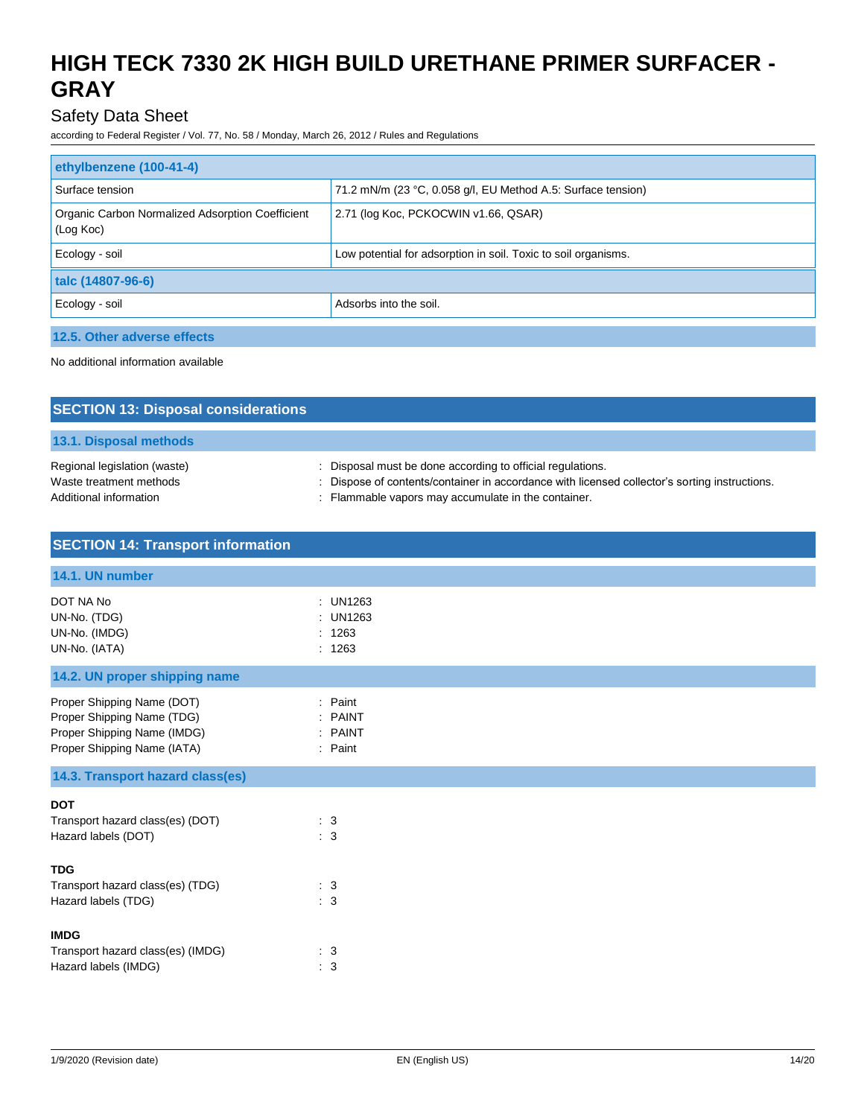## Safety Data Sheet

according to Federal Register / Vol. 77, No. 58 / Monday, March 26, 2012 / Rules and Regulations

| ethylbenzene (100-41-4)                                       |                                                                |  |
|---------------------------------------------------------------|----------------------------------------------------------------|--|
| Surface tension                                               | 71.2 mN/m (23 °C, 0.058 g/l, EU Method A.5: Surface tension)   |  |
| Organic Carbon Normalized Adsorption Coefficient<br>(Log Koc) | 2.71 (log Koc, PCKOCWIN v1.66, QSAR)                           |  |
| Ecology - soil                                                | Low potential for adsorption in soil. Toxic to soil organisms. |  |
| talc (14807-96-6)                                             |                                                                |  |
| Ecology - soil                                                | Adsorbs into the soil.                                         |  |
| 12.5. Other adverse effects                                   |                                                                |  |

No additional information available

| <b>SECTION 13: Disposal considerations</b>                                        |                                                                                                                                                                                                                |
|-----------------------------------------------------------------------------------|----------------------------------------------------------------------------------------------------------------------------------------------------------------------------------------------------------------|
| 13.1. Disposal methods                                                            |                                                                                                                                                                                                                |
| Regional legislation (waste)<br>Waste treatment methods<br>Additional information | Disposal must be done according to official regulations.<br>Dispose of contents/container in accordance with licensed collector's sorting instructions.<br>: Flammable vapors may accumulate in the container. |

| <b>SECTION 14: Transport information</b>                                                                               |                                          |
|------------------------------------------------------------------------------------------------------------------------|------------------------------------------|
| 14.1. UN number                                                                                                        |                                          |
| DOT NA No<br>UN-No. (TDG)<br>UN-No. (IMDG)<br>UN-No. (IATA)                                                            | : UN1263<br>: UN1263<br>: 1263<br>: 1263 |
| 14.2. UN proper shipping name                                                                                          |                                          |
| Proper Shipping Name (DOT)<br>Proper Shipping Name (TDG)<br>Proper Shipping Name (IMDG)<br>Proper Shipping Name (IATA) | : Paint<br>: PAINT<br>: PAINT<br>: Paint |
| 14.3. Transport hazard class(es)                                                                                       |                                          |
| <b>DOT</b><br>Transport hazard class(es) (DOT)<br>Hazard labels (DOT)                                                  | $\therefore$ 3<br>: 3                    |
| <b>TDG</b><br>Transport hazard class(es) (TDG)<br>Hazard labels (TDG)                                                  | $\therefore$ 3<br>: 3                    |
| <b>IMDG</b><br>Transport hazard class(es) (IMDG)<br>Hazard labels (IMDG)                                               | $\therefore$ 3<br>: 3                    |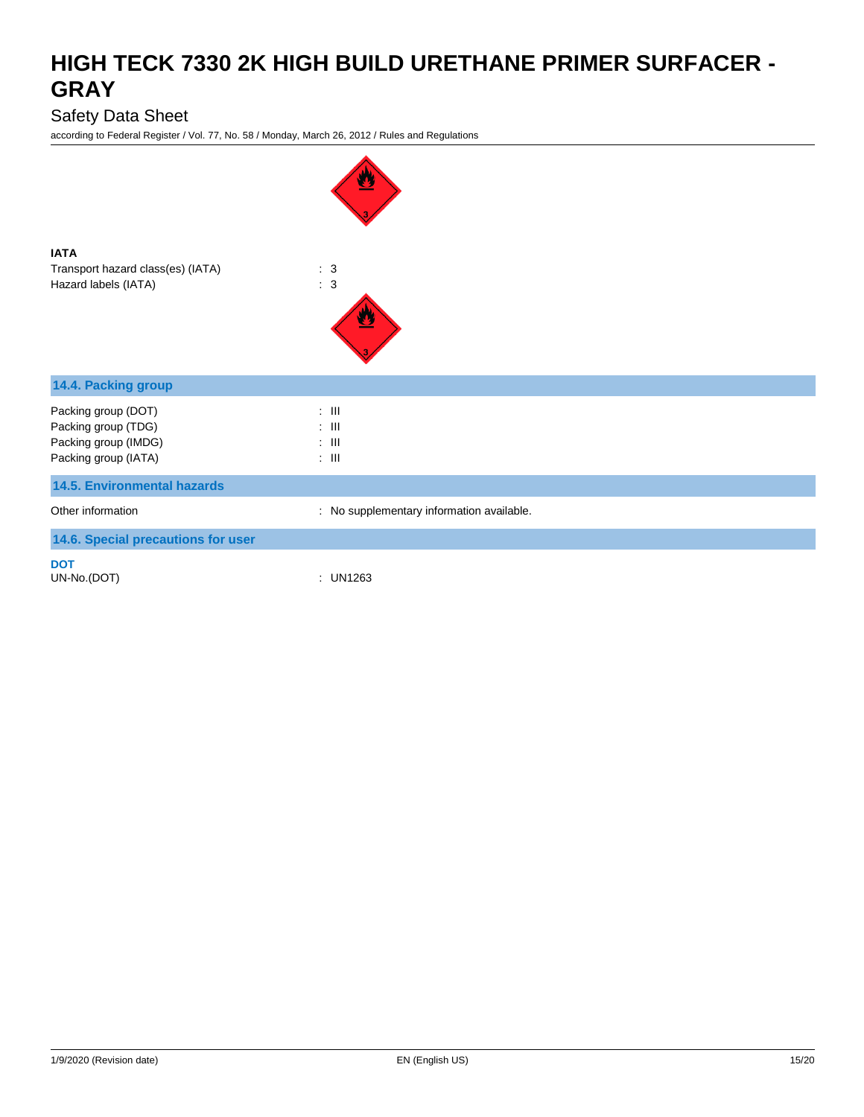## Safety Data Sheet

| <b>IATA</b><br>Transport hazard class(es) (IATA)<br>Hazard labels (IATA)                   | $\therefore$ 3<br>$\therefore$ 3                                           |
|--------------------------------------------------------------------------------------------|----------------------------------------------------------------------------|
| 14.4. Packing group                                                                        |                                                                            |
| Packing group (DOT)<br>Packing group (TDG)<br>Packing group (IMDG)<br>Packing group (IATA) | $\therefore$ III<br>$\therefore$ III<br>$\therefore$ III<br>$: \mathbb{H}$ |
| <b>14.5. Environmental hazards</b>                                                         |                                                                            |
| Other information                                                                          | : No supplementary information available.                                  |
| 14.6. Special precautions for user                                                         |                                                                            |
| <b>DOT</b><br>UN-No.(DOT)                                                                  | : UN1263                                                                   |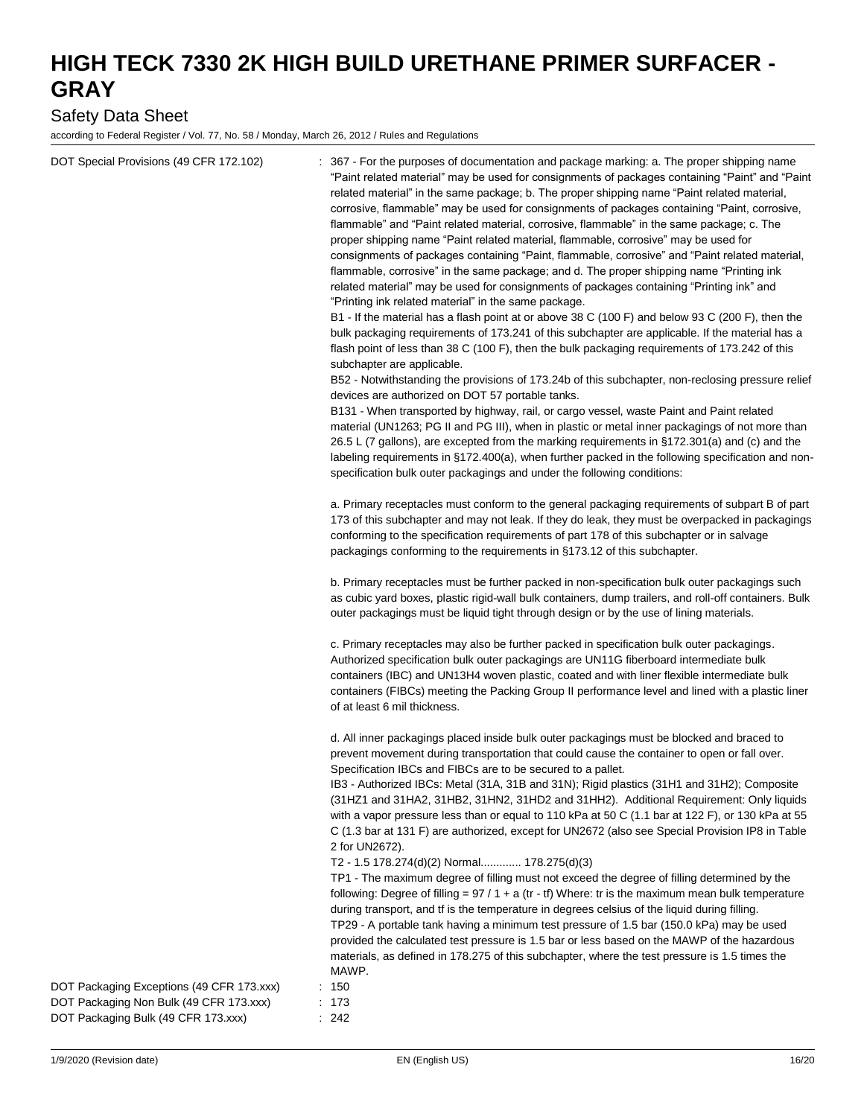## Safety Data Sheet

| DOT Special Provisions (49 CFR 172.102)                                                                                     | 367 - For the purposes of documentation and package marking: a. The proper shipping name                                                                                                                                                                                                                                                                                                                                                                                                                                                                                                                                                                                                                                                                                                                                                                                                                                                                                                                                                                                                                                                                                                                                                                                         |
|-----------------------------------------------------------------------------------------------------------------------------|----------------------------------------------------------------------------------------------------------------------------------------------------------------------------------------------------------------------------------------------------------------------------------------------------------------------------------------------------------------------------------------------------------------------------------------------------------------------------------------------------------------------------------------------------------------------------------------------------------------------------------------------------------------------------------------------------------------------------------------------------------------------------------------------------------------------------------------------------------------------------------------------------------------------------------------------------------------------------------------------------------------------------------------------------------------------------------------------------------------------------------------------------------------------------------------------------------------------------------------------------------------------------------|
|                                                                                                                             | "Paint related material" may be used for consignments of packages containing "Paint" and "Paint<br>related material" in the same package; b. The proper shipping name "Paint related material,<br>corrosive, flammable" may be used for consignments of packages containing "Paint, corrosive,<br>flammable" and "Paint related material, corrosive, flammable" in the same package; c. The<br>proper shipping name "Paint related material, flammable, corrosive" may be used for<br>consignments of packages containing "Paint, flammable, corrosive" and "Paint related material,<br>flammable, corrosive" in the same package; and d. The proper shipping name "Printing ink<br>related material" may be used for consignments of packages containing "Printing ink" and<br>"Printing ink related material" in the same package.<br>B1 - If the material has a flash point at or above 38 C (100 F) and below 93 C (200 F), then the<br>bulk packaging requirements of 173.241 of this subchapter are applicable. If the material has a<br>flash point of less than 38 C (100 F), then the bulk packaging requirements of 173.242 of this<br>subchapter are applicable.<br>B52 - Notwithstanding the provisions of 173.24b of this subchapter, non-reclosing pressure relief |
|                                                                                                                             | devices are authorized on DOT 57 portable tanks.<br>B131 - When transported by highway, rail, or cargo vessel, waste Paint and Paint related<br>material (UN1263; PG II and PG III), when in plastic or metal inner packagings of not more than<br>26.5 L (7 gallons), are excepted from the marking requirements in §172.301(a) and (c) and the<br>labeling requirements in §172.400(a), when further packed in the following specification and non-<br>specification bulk outer packagings and under the following conditions:                                                                                                                                                                                                                                                                                                                                                                                                                                                                                                                                                                                                                                                                                                                                                 |
|                                                                                                                             | a. Primary receptacles must conform to the general packaging requirements of subpart B of part<br>173 of this subchapter and may not leak. If they do leak, they must be overpacked in packagings<br>conforming to the specification requirements of part 178 of this subchapter or in salvage<br>packagings conforming to the requirements in §173.12 of this subchapter.                                                                                                                                                                                                                                                                                                                                                                                                                                                                                                                                                                                                                                                                                                                                                                                                                                                                                                       |
|                                                                                                                             | b. Primary receptacles must be further packed in non-specification bulk outer packagings such<br>as cubic yard boxes, plastic rigid-wall bulk containers, dump trailers, and roll-off containers. Bulk<br>outer packagings must be liquid tight through design or by the use of lining materials.                                                                                                                                                                                                                                                                                                                                                                                                                                                                                                                                                                                                                                                                                                                                                                                                                                                                                                                                                                                |
|                                                                                                                             | c. Primary receptacles may also be further packed in specification bulk outer packagings.<br>Authorized specification bulk outer packagings are UN11G fiberboard intermediate bulk<br>containers (IBC) and UN13H4 woven plastic, coated and with liner flexible intermediate bulk<br>containers (FIBCs) meeting the Packing Group II performance level and lined with a plastic liner<br>of at least 6 mil thickness.                                                                                                                                                                                                                                                                                                                                                                                                                                                                                                                                                                                                                                                                                                                                                                                                                                                            |
|                                                                                                                             | d. All inner packagings placed inside bulk outer packagings must be blocked and braced to<br>prevent movement during transportation that could cause the container to open or fall over.<br>Specification IBCs and FIBCs are to be secured to a pallet.<br>IB3 - Authorized IBCs: Metal (31A, 31B and 31N); Rigid plastics (31H1 and 31H2); Composite<br>(31HZ1 and 31HA2, 31HB2, 31HN2, 31HD2 and 31HH2). Additional Requirement: Only liquids<br>with a vapor pressure less than or equal to 110 kPa at 50 C (1.1 bar at 122 F), or 130 kPa at 55<br>C (1.3 bar at 131 F) are authorized, except for UN2672 (also see Special Provision IP8 in Table                                                                                                                                                                                                                                                                                                                                                                                                                                                                                                                                                                                                                           |
|                                                                                                                             | 2 for UN2672).<br>T2 - 1.5 178.274(d)(2) Normal 178.275(d)(3)<br>TP1 - The maximum degree of filling must not exceed the degree of filling determined by the<br>following: Degree of filling = $97/1 + a$ (tr - tf) Where: tr is the maximum mean bulk temperature<br>during transport, and tf is the temperature in degrees celsius of the liquid during filling.<br>TP29 - A portable tank having a minimum test pressure of 1.5 bar (150.0 kPa) may be used<br>provided the calculated test pressure is 1.5 bar or less based on the MAWP of the hazardous<br>materials, as defined in 178.275 of this subchapter, where the test pressure is 1.5 times the                                                                                                                                                                                                                                                                                                                                                                                                                                                                                                                                                                                                                   |
| DOT Packaging Exceptions (49 CFR 173.xxx)<br>DOT Packaging Non Bulk (49 CFR 173.xxx)<br>DOT Packaging Bulk (49 CFR 173.xxx) | MAWP.<br>: 150<br>: 173<br>242                                                                                                                                                                                                                                                                                                                                                                                                                                                                                                                                                                                                                                                                                                                                                                                                                                                                                                                                                                                                                                                                                                                                                                                                                                                   |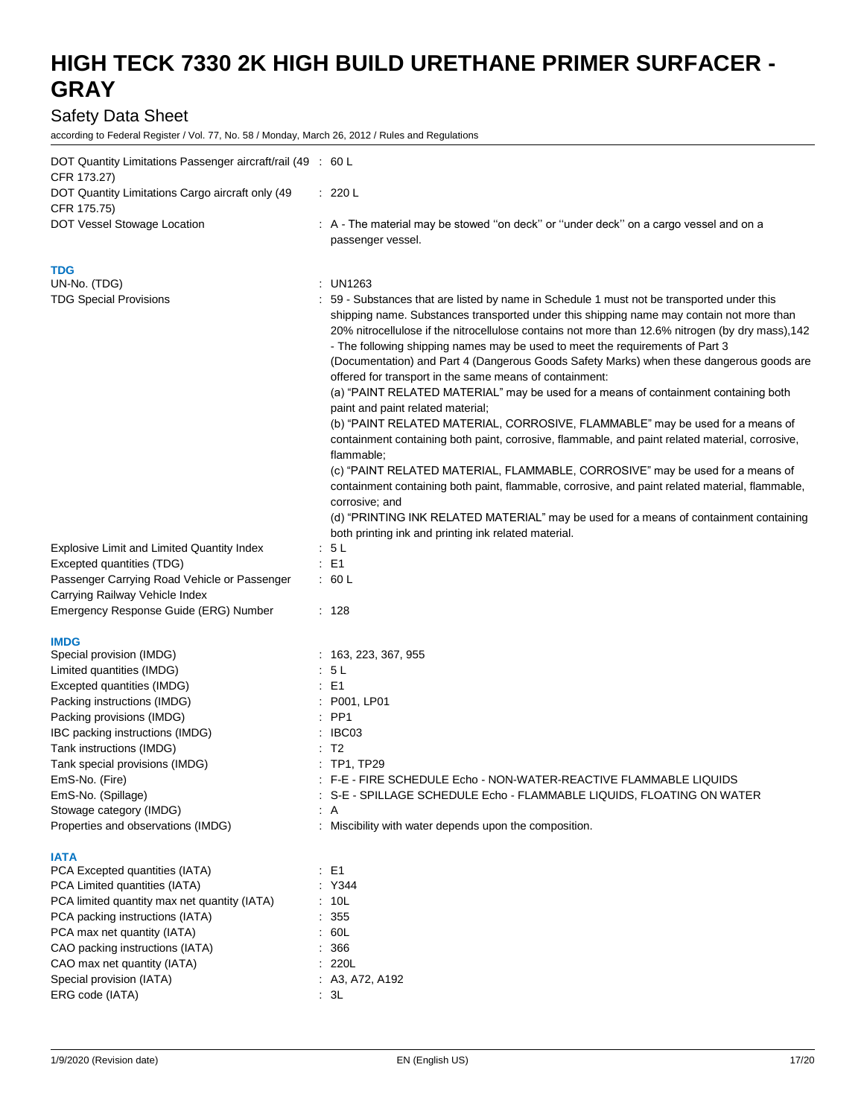## Safety Data Sheet

| DOT Quantity Limitations Passenger aircraft/rail (49 : 60 L     |                                                                                                                                                                                                                                                                                                                                                                                                                                                                                                                                                                                                                          |
|-----------------------------------------------------------------|--------------------------------------------------------------------------------------------------------------------------------------------------------------------------------------------------------------------------------------------------------------------------------------------------------------------------------------------------------------------------------------------------------------------------------------------------------------------------------------------------------------------------------------------------------------------------------------------------------------------------|
| CFR 173.27)<br>DOT Quantity Limitations Cargo aircraft only (49 | : 220 L                                                                                                                                                                                                                                                                                                                                                                                                                                                                                                                                                                                                                  |
| CFR 175.75)                                                     |                                                                                                                                                                                                                                                                                                                                                                                                                                                                                                                                                                                                                          |
| DOT Vessel Stowage Location                                     | : A - The material may be stowed "on deck" or "under deck" on a cargo vessel and on a<br>passenger vessel.                                                                                                                                                                                                                                                                                                                                                                                                                                                                                                               |
| <b>TDG</b>                                                      |                                                                                                                                                                                                                                                                                                                                                                                                                                                                                                                                                                                                                          |
| UN-No. (TDG)                                                    | UN1263                                                                                                                                                                                                                                                                                                                                                                                                                                                                                                                                                                                                                   |
| <b>TDG Special Provisions</b>                                   | 59 - Substances that are listed by name in Schedule 1 must not be transported under this<br>shipping name. Substances transported under this shipping name may contain not more than<br>20% nitrocellulose if the nitrocellulose contains not more than 12.6% nitrogen (by dry mass), 142<br>- The following shipping names may be used to meet the requirements of Part 3<br>(Documentation) and Part 4 (Dangerous Goods Safety Marks) when these dangerous goods are<br>offered for transport in the same means of containment:<br>(a) "PAINT RELATED MATERIAL" may be used for a means of containment containing both |
|                                                                 | paint and paint related material;<br>(b) "PAINT RELATED MATERIAL, CORROSIVE, FLAMMABLE" may be used for a means of                                                                                                                                                                                                                                                                                                                                                                                                                                                                                                       |
|                                                                 | containment containing both paint, corrosive, flammable, and paint related material, corrosive,<br>flammable;                                                                                                                                                                                                                                                                                                                                                                                                                                                                                                            |
|                                                                 | (c) "PAINT RELATED MATERIAL, FLAMMABLE, CORROSIVE" may be used for a means of<br>containment containing both paint, flammable, corrosive, and paint related material, flammable,<br>corrosive; and                                                                                                                                                                                                                                                                                                                                                                                                                       |
|                                                                 | (d) "PRINTING INK RELATED MATERIAL" may be used for a means of containment containing<br>both printing ink and printing ink related material.                                                                                                                                                                                                                                                                                                                                                                                                                                                                            |
| Explosive Limit and Limited Quantity Index                      | 5 <sub>L</sub>                                                                                                                                                                                                                                                                                                                                                                                                                                                                                                                                                                                                           |
| Excepted quantities (TDG)                                       | : E1                                                                                                                                                                                                                                                                                                                                                                                                                                                                                                                                                                                                                     |
| Passenger Carrying Road Vehicle or Passenger                    | : 60 L                                                                                                                                                                                                                                                                                                                                                                                                                                                                                                                                                                                                                   |
| Carrying Railway Vehicle Index                                  |                                                                                                                                                                                                                                                                                                                                                                                                                                                                                                                                                                                                                          |
| Emergency Response Guide (ERG) Number                           | : 128                                                                                                                                                                                                                                                                                                                                                                                                                                                                                                                                                                                                                    |
| <b>IMDG</b>                                                     |                                                                                                                                                                                                                                                                                                                                                                                                                                                                                                                                                                                                                          |
| Special provision (IMDG)                                        | : 163, 223, 367, 955                                                                                                                                                                                                                                                                                                                                                                                                                                                                                                                                                                                                     |
| Limited quantities (IMDG)                                       | : 5 L                                                                                                                                                                                                                                                                                                                                                                                                                                                                                                                                                                                                                    |
| Excepted quantities (IMDG)                                      | : E1                                                                                                                                                                                                                                                                                                                                                                                                                                                                                                                                                                                                                     |
| Packing instructions (IMDG)                                     | P001, LP01                                                                                                                                                                                                                                                                                                                                                                                                                                                                                                                                                                                                               |
| Packing provisions (IMDG)                                       | $:$ PP1                                                                                                                                                                                                                                                                                                                                                                                                                                                                                                                                                                                                                  |
| IBC packing instructions (IMDG)                                 | IBC03                                                                                                                                                                                                                                                                                                                                                                                                                                                                                                                                                                                                                    |
| Tank instructions (IMDG)                                        | : T2                                                                                                                                                                                                                                                                                                                                                                                                                                                                                                                                                                                                                     |
| Tank special provisions (IMDG)                                  | : TP1, TP29                                                                                                                                                                                                                                                                                                                                                                                                                                                                                                                                                                                                              |
| EmS-No. (Fire)                                                  | : F-E - FIRE SCHEDULE Echo - NON-WATER-REACTIVE FLAMMABLE LIQUIDS                                                                                                                                                                                                                                                                                                                                                                                                                                                                                                                                                        |
| EmS-No. (Spillage)<br>Stowage category (IMDG)                   | : S-E - SPILLAGE SCHEDULE Echo - FLAMMABLE LIQUIDS, FLOATING ON WATER<br>$\therefore$ A                                                                                                                                                                                                                                                                                                                                                                                                                                                                                                                                  |
| Properties and observations (IMDG)                              | : Miscibility with water depends upon the composition.                                                                                                                                                                                                                                                                                                                                                                                                                                                                                                                                                                   |
| <b>IATA</b>                                                     |                                                                                                                                                                                                                                                                                                                                                                                                                                                                                                                                                                                                                          |
| PCA Excepted quantities (IATA)                                  | : E1                                                                                                                                                                                                                                                                                                                                                                                                                                                                                                                                                                                                                     |
| PCA Limited quantities (IATA)                                   | : Y344                                                                                                                                                                                                                                                                                                                                                                                                                                                                                                                                                                                                                   |
| PCA limited quantity max net quantity (IATA)                    | : 10L                                                                                                                                                                                                                                                                                                                                                                                                                                                                                                                                                                                                                    |
| PCA packing instructions (IATA)                                 | : 355                                                                                                                                                                                                                                                                                                                                                                                                                                                                                                                                                                                                                    |
| PCA max net quantity (IATA)<br>CAO packing instructions (IATA)  | : 60L<br>: 366                                                                                                                                                                                                                                                                                                                                                                                                                                                                                                                                                                                                           |
| CAO max net quantity (IATA)                                     | : 220L                                                                                                                                                                                                                                                                                                                                                                                                                                                                                                                                                                                                                   |
| Special provision (IATA)                                        | : A3, A72, A192                                                                                                                                                                                                                                                                                                                                                                                                                                                                                                                                                                                                          |
| ERG code (IATA)                                                 | : 3L                                                                                                                                                                                                                                                                                                                                                                                                                                                                                                                                                                                                                     |
|                                                                 |                                                                                                                                                                                                                                                                                                                                                                                                                                                                                                                                                                                                                          |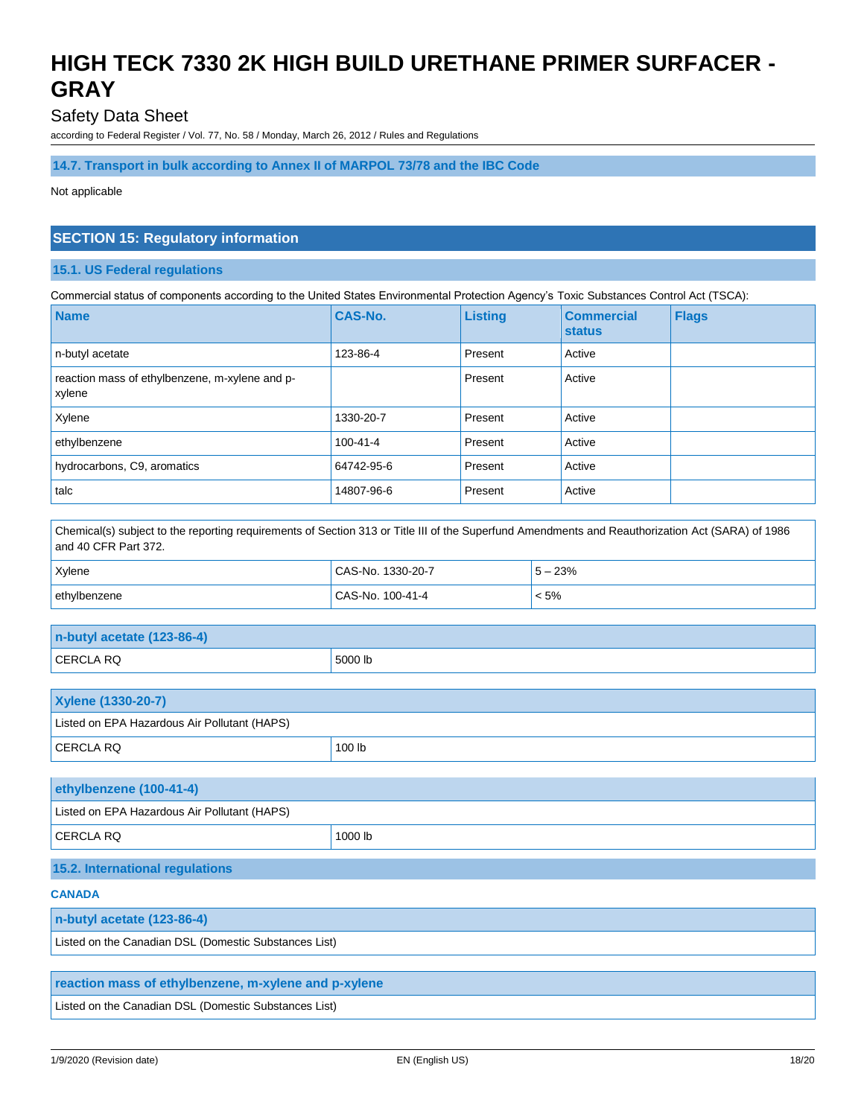### Safety Data Sheet

according to Federal Register / Vol. 77, No. 58 / Monday, March 26, 2012 / Rules and Regulations

#### **14.7. Transport in bulk according to Annex II of MARPOL 73/78 and the IBC Code**

Not applicable

### **SECTION 15: Regulatory information**

#### **15.1. US Federal regulations**

Commercial status of components according to the United States Environmental Protection Agency's Toxic Substances Control Act (TSCA):

| <b>Name</b>                                              | <b>CAS-No.</b> | <b>Listing</b> | <b>Commercial</b><br><b>status</b> | <b>Flags</b> |
|----------------------------------------------------------|----------------|----------------|------------------------------------|--------------|
| n-butyl acetate                                          | 123-86-4       | Present        | Active                             |              |
| reaction mass of ethylbenzene, m-xylene and p-<br>xylene |                | Present        | Active                             |              |
| Xylene                                                   | 1330-20-7      | Present        | Active                             |              |
| ethylbenzene                                             | $100 - 41 - 4$ | Present        | Active                             |              |
| hydrocarbons, C9, aromatics                              | 64742-95-6     | Present        | Active                             |              |
| talc                                                     | 14807-96-6     | Present        | Active                             |              |

Chemical(s) subject to the reporting requirements of Section 313 or Title III of the Superfund Amendments and Reauthorization Act (SARA) of 1986 and 40 CFR Part 372.

| <b>Xylene</b> | CAS-No. 1330-20-7 | $5 - 23%$ |
|---------------|-------------------|-----------|
| ethylbenzene  | CAS-No. 100-41-4  | $< 5\%$   |

| $n$ -butyl acetate (123-86-4) |         |
|-------------------------------|---------|
| <b>CERCLA RQ</b>              | 5000 lb |

| <b>Xylene (1330-20-7)</b>                    |        |
|----------------------------------------------|--------|
| Listed on EPA Hazardous Air Pollutant (HAPS) |        |
| <b>CERCLA RQ</b>                             | 100 lb |

| ethylbenzene (100-41-4)                      |         |
|----------------------------------------------|---------|
| Listed on EPA Hazardous Air Pollutant (HAPS) |         |
| <b>CERCLA RQ</b>                             | 1000 lb |

### **15.2. International regulations**

#### **CANADA**

#### **n-butyl acetate (123-86-4)**

Listed on the Canadian DSL (Domestic Substances List)

### **reaction mass of ethylbenzene, m-xylene and p-xylene**

Listed on the Canadian DSL (Domestic Substances List)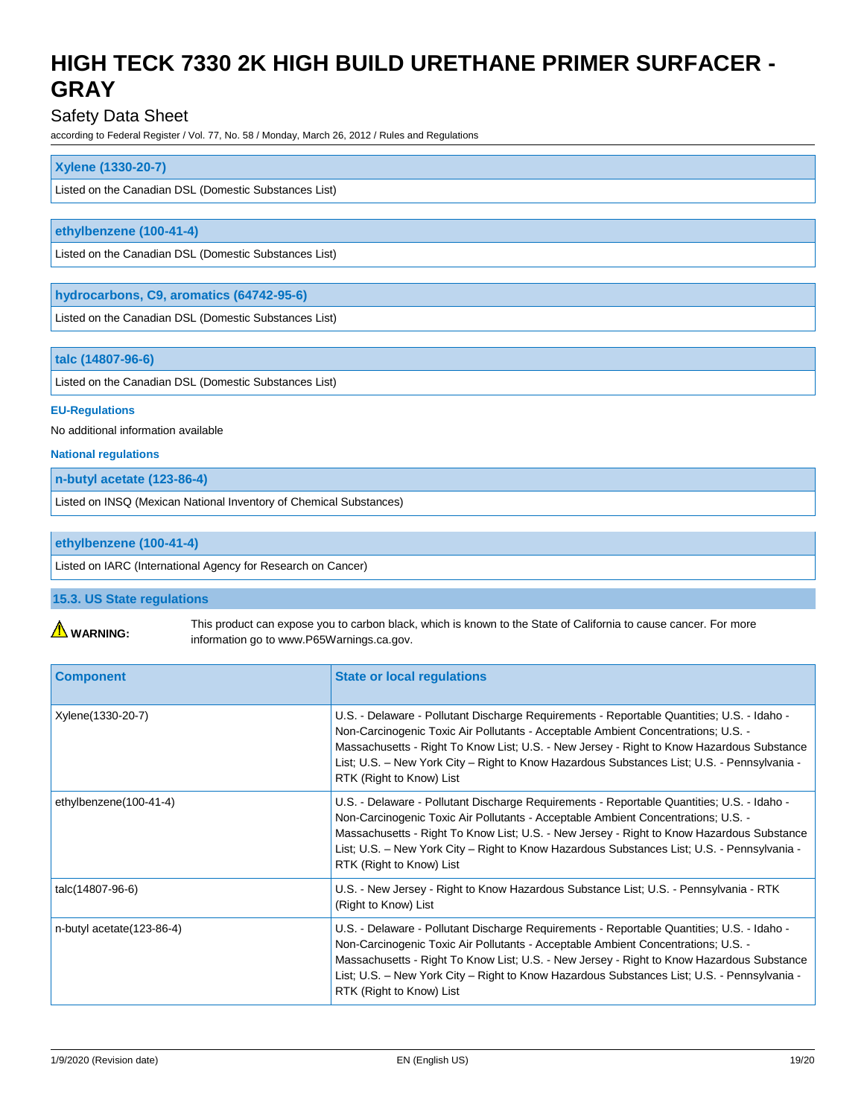### Safety Data Sheet

according to Federal Register / Vol. 77, No. 58 / Monday, March 26, 2012 / Rules and Regulations

#### **Xylene (1330-20-7)**

Listed on the Canadian DSL (Domestic Substances List)

#### **ethylbenzene (100-41-4)**

Listed on the Canadian DSL (Domestic Substances List)

#### **hydrocarbons, C9, aromatics (64742-95-6)**

Listed on the Canadian DSL (Domestic Substances List)

#### **talc (14807-96-6)**

Listed on the Canadian DSL (Domestic Substances List)

#### **EU-Regulations**

No additional information available

**National regulations**

**n-butyl acetate (123-86-4)**

Listed on INSQ (Mexican National Inventory of Chemical Substances)

#### **ethylbenzene (100-41-4)**

Listed on IARC (International Agency for Research on Cancer)

#### **15.3. US State regulations**

**WARNING:** 

This product can expose you to carbon black, which is known to the State of California to cause cancer. For more information go to www.P65Warnings.ca.gov.

| <b>Component</b>             | <b>State or local regulations</b>                                                                                                                                                                                                                                                                                                                                                                       |
|------------------------------|---------------------------------------------------------------------------------------------------------------------------------------------------------------------------------------------------------------------------------------------------------------------------------------------------------------------------------------------------------------------------------------------------------|
| Xylene(1330-20-7)            | U.S. - Delaware - Pollutant Discharge Requirements - Reportable Quantities; U.S. - Idaho -<br>Non-Carcinogenic Toxic Air Pollutants - Acceptable Ambient Concentrations; U.S. -<br>Massachusetts - Right To Know List; U.S. - New Jersey - Right to Know Hazardous Substance<br>List; U.S. - New York City - Right to Know Hazardous Substances List; U.S. - Pennsylvania -<br>RTK (Right to Know) List |
| ethylbenzene(100-41-4)       | U.S. - Delaware - Pollutant Discharge Requirements - Reportable Quantities; U.S. - Idaho -<br>Non-Carcinogenic Toxic Air Pollutants - Acceptable Ambient Concentrations; U.S. -<br>Massachusetts - Right To Know List; U.S. - New Jersey - Right to Know Hazardous Substance<br>List; U.S. - New York City - Right to Know Hazardous Substances List; U.S. - Pennsylvania -<br>RTK (Right to Know) List |
| talc(14807-96-6)             | U.S. - New Jersey - Right to Know Hazardous Substance List; U.S. - Pennsylvania - RTK<br>(Right to Know) List                                                                                                                                                                                                                                                                                           |
| n-butyl acetate $(123-86-4)$ | U.S. - Delaware - Pollutant Discharge Requirements - Reportable Quantities; U.S. - Idaho -<br>Non-Carcinogenic Toxic Air Pollutants - Acceptable Ambient Concentrations; U.S. -<br>Massachusetts - Right To Know List; U.S. - New Jersey - Right to Know Hazardous Substance<br>List; U.S. - New York City - Right to Know Hazardous Substances List; U.S. - Pennsylvania -<br>RTK (Right to Know) List |